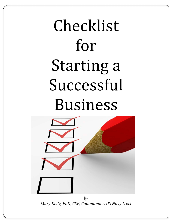# Checklist for Starting a Successful Business



*Mary Kelly, PhD, CSP, Commander, US Navy (ret)*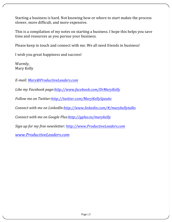Starting a business is hard. Not knowing how or where to start makes the process slower, more difficult, and more expensive.

This is a compilation of my notes on starting a business. I hope this helps you save time and resources as you pursue your business.

Please keep in touch and connect with me. We all need friends in business!

I wish you great happiness and success!

Warmly, Mary Kelly

*E-mail: Mary@ProductiveLeaders.com*

Like my Facebook page:http://www.facebook.com/DrMaryKelly

*Follow me on Twitter:http://twitter.com/MaryKellySpeaks* 

*Connect with me on LinkedIn:http://www.linkedin.com/#/marykellytalks* 

*Connect with me on Google Plus:http://gplus.to/marykelly* 

*Sign up for my free newsletter: http://www.ProductiveLeaders.com*

*www.ProductiveLeaders.com*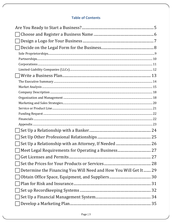# **Table of Contents**

| Determine the Financing You Will Need and How You Will Get It 29 |  |
|------------------------------------------------------------------|--|
|                                                                  |  |
|                                                                  |  |
|                                                                  |  |
|                                                                  |  |
|                                                                  |  |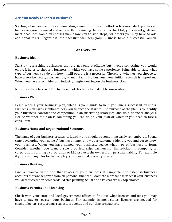# **Are You Ready to Start a Business?**

Starting a business requires a demanding amount of time and effort. A business startup checklist helps keep you organized and on task. By organizing the steps in a checklist, you can set goals and meet deadlines. Some businesses may allow you to skip steps; for others you may have to add additional tasks. Regardless, the checklist will help your business have a successful launch.

#### **An Overview**

#### **Business Idea**

Start by researching businesses that are not only profitable but involve something you would enjoy. It helps to choose a business in which you have some experience. Being able to state what type of business you do and how it will operate is a necessity. Therefore, whether you choose to have a service, retail, construction, or manufacturing business, your initial research is important. When you have a solid idea and industry, begin working on the business plan.

Not sure where to start? Flip to the end of this book for lists of business ideas.

#### **Business Plan**

Begin writing your business plan, which is your guide to help you run a successful business. Business plans are essential to help you finance the startup. The purpose of the plan is to identify your business, consider the competition, plan marketing strategies, and do a financial analysis. Decide whether the plan is something you can do on your own or whether you need to hire a consultant.

#### **Business Name and Organizational Structure**

The name of your business creates its identity and should be something easily remembered. Spend time developing your name. A business name is how your customers identify you and get to know your business. When you have named your business, decide what *type* of business to form. Consider whether you want a sole proprietorship, partnership, limited-liability company, or corporation. Forming a corporation or LLC protects the owner from personal liability. For example, if your company files for bankruptcy, your personal property is safe.

#### **Business Banking**

Find a financial institution that relates to your business. It's important to establish business accounts that are separate from all personal finances. Look into merchant services if your business will accept credit or debit cards. At this printing, Square and Paypal are my top choices.

#### **Business Permits and Licensing**

Check with your state and local government offices to find out what licenses and fees you may have to pay to register your business. For example, in most states, licenses are needed for cosmetologists, restaurants, real estate agents, and building contractors.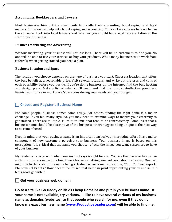# **Accountants, Bookkeepers, and Lawyers**

Most businesses hire outside consultants to handle their accounting, bookkeeping, and legal matters. Software can help with bookkeeping and accounting. You can take courses to learn to use the software. Look into local lawyers and whether you should have legal representation at the start of your business.

#### **Business Marketing and Advertising**

Without marketing, your business will not last long. There will be no customers to find you. No one will be able to use your services or buy your products. While many businesses do work from referrals, when getting started, you need a plan.

#### **Business Location and Space**

The location you choose depends on the type of business you start. Choose a location that offers the best benefit at a reasonable price. Visit several locations, and write out the pros and cons of each possibility before you decide. If you're doing business on the Internet, find the best hosting and design plans. Make a list of what you'll need, and find the most cost-effective providers. Furnish your office or workplace/space considering your needs and your budget.

# **Choose and Register a Business Name**

For some people, business names come easily. For others, finding the right name is a major challenge. If you feel really stymied, you may need to examine ways to inspire your creativity to get started. There are multiple "rules-of-thumb" that tend to be contradictory: Some insist that a business name should be descriptive of the business others suggest being unique is the best way to be remembered.

Keep in mind that your business name is an important part of your marketing effort. It is a major component of how customers perceive your business. Your business image is based on this perception. It is critical that the name you choose reflects the image you want customers to have of your business.

My tendency is to go with what your instinct says is right for you. You are the one who has to live with this business name for a long time. Choose something you feel good about repeating. One test might be to think about the name being splashed across a major headline, "*Your Business* Reports Phenomenal Profits." How does it feel to see that name in print representing your business? If it feels good, go with it.

# **Get your business web domain**

Go to a site like Go Daddy or Rick's Cheap Domains and put in your business name. If **your name is not available, try variants.** I like to have several variants of my business name as domains (websites) so that people who search for me, even if they don't know my exact business name (www.ProductiveLeaders.com) will be able to find me.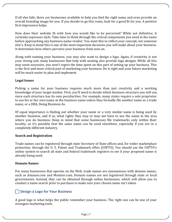If all else fails, there are businesses available to help you find the right name and even provide an overall branding image for you. If you decide to go this route, look for a good fit for you. A positive first impression helps.

How does their website fit with how you would like to be perceived? While not definitive, it certainly expresses style. Take time to think through the critical components you need in the name before approaching any business-name vendor. You want this to reflect *your* concept, not someone else's. Keep in mind this is one of the most important decisions you will make about your business. It determines how others perceive your business from now on.

Along with naming your business, you may also want to design a logo. Again, if creativity is not your strong suit, many businesses that help with naming also provide logo designs. While all this may seem excessive, you won't regret the time spent on this part of setting up your business. This is the first and most critical part of marketing your business. Do it right and your future marketing will be much easier to plan and implement.

# **Legal Issues**

Picking a name for your business requires much more than just creativity and a working knowledge of your target market. First, you'll need to decide which business structure you will use, since each structure has its own peculiarities. For example, many states require a sole proprietor to use his or her own name as the business name unless they formally file another name as a trade name, or a DBA, Doing Business As.

Of equal importance is finding out whether your name or a very similar name is being used by another business, and if so, what rights they may or may not have to use the name in the area where you do business. Keep in mind that some businesses file trademarks only within their locality, so it's possible that the same name can be used elsewhere, especially if you are in a completely different industry.

# **Search and Registration**

Trade names can be registered through state Secretary of State offices and, for wider marketplace protection, through the U. S. Patent and Trademark office (USPTO). You should use the USPTO's online system to search all state and federal trademark registers to see if your proposed name is already being used.

# **Domain Names**

For many businesses that operate on the Web, trade names are synonymous with domain names, such as Amazon.com and Monster.com. Domain names are not registered through state or local governments. Instead, they can be obtained through online businesses, which will allow you to conduct a name search prior to purchase to make sure your chosen name isn't taken.

# **Design a Logo for Your Business**

A good logo is what helps the public remember your business. The right one can be one of your strongest marketing tools.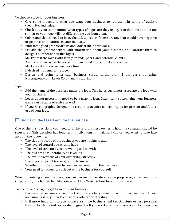To choose a logo for your business:

- Give some thought to what you want your business to represent in terms of quality, creativity, and value.
- Check out your competition. What types of logos are they using? You don't want to be too similar or your logo will not differentiate you from them.
- Colors and shapes need to be evaluated. Consider if there are any that would have negative or positive connotations in your industry.
- Find some good graphic artists and look at their past work.
- Provide the graphic artists with information about your business, and contract them to design a number of possible logos.
- Market-test the logos with family, friends, peers, and potential clients.
- Ask the graphic artists to revise the logo based on the input you receive.
- Market-test and revise one more time.
- If desired, trademark the logo.
- Design and print letterhead, business cards, cards, etc. I am currently using Nustragroup.com, Lewis Color, and Vistaprint.

Tips:

- Add the name of the business under the logo. This helps customers associate the logo with your business.
- Logos do not necessarily need to be a graphic icon. Graphically customizing your business name can be quite effective as well.
- If you hire a graphic designer, be certain to acquire all legal rights for present and future use of your logo.

# **Decide on the Legal Form for the Business**

One of the first decisions you need to make as a business owner is how the company should be structured. This decision has long-term implications. In making a choice, you want to take into account the following:

- The size and scope of the business you are hoping to attain
- The level of control you wish to have
- The level of structure you are willing to deal with
- The business's vulnerability to lawsuits
- The tax implications of your ownership structure
- The expected profit (or loss) of the business
- Whether or not you need to re-invest earnings into the business
- Your need for access to cash out of the business for yourself.

When organizing a new business, you can choose to operate as a sole proprietor, a partnership, a corporation, or a limited liability company (LLC). Which is best for your business?

To decide on the right legal form for your business:

- Decide whether you are running this business by yourself or with others involved. If you are running it by yourself, consider a sole proprietorship.
- Is it more important to you to have a simple business and tax structure or less personal liability for debts and corporate judgments? If you want a simple business and tax structure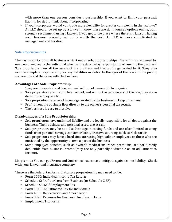with more than one person, consider a partnership. If you want to limit your personal liability for debts, think about incorporating.

• If you incorporate, would you trade more flexibility for greater complexity in the tax laws? An LLC should be set up by a lawyer. I know there are do it yourself options online, but I strongly recommend using a lawyer. If you get to the place where there is a lawsuit, having your business properly set up is worth the cost. An LLC is more complicated in management and taxation.

# **Sole Proprietorships**

The vast majority of small businesses start out as sole proprietorships. These firms are owned by one person—usually the individual who has the day-to-day responsibility of running the business. Sole proprietors own all the assets of the business and the profits generated by it. They also assume complete responsibility for any liabilities or debts. In the eyes of the law and the public, you are one and the same with the business.

# **Advantages of a Sole Proprietorship:**

- They are the easiest and least expensive form of ownership to organize.
- Sole proprietors are in complete control, and within the parameters of the law, they make decisions as they see fit.
- Sole proprietors receive all income generated by the business to keep or reinvest.
- Profits from the business flow directly to the owner's personal tax return.
- The business is easy to dissolve.

# **Disadvantages of a Sole Proprietorship:**

- Sole proprietors have unlimited liability and are legally responsible for all debts against the business. Their business and personal assets are at risk.
- Sole proprietors may be at a disadvantage in raising funds and are often limited to using funds from personal savings, consumer loans, or crowd sourcing, such as Kickstarter.
- Sole proprietors may have a hard time attracting high-caliber employees or those who are motivated by the opportunity to own a part of the business.
- Some employee benefits, such as owner's medical insurance premiums, are not directly deductible from business income (they are only partially deductible as an adjustment to income).

Mary's note: You can get Errors and Omissions insurance to mitigate against some liability. Check with your lawyer and insurance company.

These are the federal tax forms that a sole proprietorship may need to file:

- Form 1040: Individual Income Tax Return
- Schedule C: Profit or Loss from Business (or Schedule C-EZ)
- Schedule SE: Self-Employment Tax
- Form 1040-ES: Estimated Tax for Individuals
- Form 4562: Depreciation and Amortization
- Form 8829: Expenses for Business Use of your Home
- Employment Tax Forms.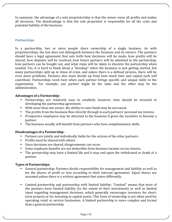In summary, the advantage of a sole proprietorship is that the owner owns all profits and makes all decisions. The disadvantage is that the sole proprietor is responsible for all the costs and potential liability of the business.

# **Partnerships**

In a partnership, two or more people share ownership of a single business. As with proprietorships, the law does not distinguish between the business and its owners. The partners should have a legal agreement that sets forth how decisions will be made, how profits will be shared, how disputes will be resolved, how future partners will be admitted to the partnership, how partners can be bought out, and what steps will be taken to dissolve the partnership when needed. Yes, it is hard to think about a "breakup" when the business is just getting started, but many partnerships split up in times of crisis, and unless there is a defined process, there will be even more problems. Partners also must decide up front how much time and capital each will contribute. Partnerships work best when each partner brings specific and unique skills to the organization. For example, one partner might be the sales and the other may be the administration. 

# **Advantages of a Partnership:**

- Partnerships are relatively easy to establish, however, time should be invested in developing the partnership agreement.
- With more than one owner, the ability to raise funds may be increased.
- The profits from the business flow directly through to each partners' personal tax returns.
- Prospective employees may be attracted to the business if given the incentive to become a partner.
- The business usually will benefit from partners who have complementary skills.

# **Disadvantages of a Partnership:**

- Partners are jointly and individually liable for the actions of the other partners.
- Profits must be shared with others.
- Since decisions are shared, disagreements can occur.
- Some employee benefits are not deductible from business income on tax returns.
- The partnership may have a limited life and it may end upon the withdrawal or death of a partner.

# **Types of Partnerships:**

- General partnership: Partners divide responsibility for management and liability as well as for the shares of profit or loss according to their internal agreement. Equal shares are assumed unless there is a written agreement that states differently.
- Limited partnership and partnership with limited liability: "Limited" means that most of the partners have limited liability (to the extent of their investment) as well as limited input regarding management decisions, which generally encourages investors for shortterm projects or for investing in capital assets. This form of ownership is not often used for operating retail or service businesses. A limited partnership is more complex and formal than a general partnership.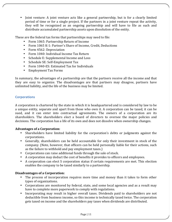Joint venture: A joint venture acts like a general partnership, but is for a clearly limited period of time or for a single project. If the partners in a joint venture repeat the activity, they will be recognized as an ongoing partnership and will have to file as such and distribute accumulated partnership assets upon dissolution of the entity.

These are the federal tax forms that partnerships may need to file:

- Form 1065: Partnership Return of Income
- Form 1065 K-1: Partner's Share of Income, Credit, Deductions
- Form 4562: Depreciation
- Form 1040: Individual Income Tax Return
- Schedule E: Supplemental Income and Loss
- Schedule SE: Self-Employment Tax
- Form 1040-ES: Estimated Tax for Individuals
- Employment Tax Forms

In summary, the advantages of a partnership are that the partners receive all the income and that they are easy to organize. The disadvantages are that partners may disagree, partners have unlimited liability, and the life of the business may be limited.

# **Corporations**

A corporation is chartered by the state in which it is headquartered and is considered by law to be a unique entity, separate and apart from those who own it. A corporation can be taxed, it can be sued, and it can enter into contractual agreements. The owners of a corporation are its shareholders. The shareholders elect a board of directors to oversee the major policies and decisions. The corporation has a life of its own and does not dissolve when ownership changes.

# Advantages of a Corporation:

- Shareholders have limited liability for the corporation's debts or judgments against the corporations.
- Generally, shareholders can be held accountable for only their investment in stock of the company. (Note, however, that officers can be held personally liable for their actions, such as the failure to withhold and pay employment taxes.)
- Corporations can raise additional funds through the sale of stock.
- A corporation may deduct the cost of benefits it provides to officers and employees.
- A corporation can elect S corporation status if certain requirements are met. This election enables the company to be taxed similarly to a partnership.

# **Disadvantages of a Corporation:**

- The process of incorporation requires more time and money than it takes to form other types of organizations.
- Corporations are monitored by federal, state, and some local agencies and as a result may have to complete more paperwork to comply with regulations.
- Incorporating may result in higher overall taxes. Dividends paid to shareholders are not deductible from business income, so this income is technically taxed twice. The corporation gets taxed on income and the shareholders pay taxes when dividends are distributed.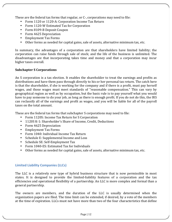These are the federal tax forms that regular, or C-, corporations may need to file:

- Form 1120 or 1120-A: Corporation Income Tax Return
- Form 1120-W Estimated Tax for Corporation
- Form 8109-B Deposit Coupon
- Form 4625 Depreciation
- Employment Tax Forms
- Other forms as needed for capital gains, sale of assets, alternative minimum tax, etc.

In summary, the advantages of a corporation are that shareholders have limited liability; the corporation can raise funds through sale of stock; and the life of the business is unlimited. The disadvantages are that incorporating takes time and money and that a corporation may incur higher taxes overall.

# **Subchapter S Corporations**

An S corporation is a tax election. It enables the shareholder to treat the earnings and profits as distributions and have them pass through directly to his or her personal tax return. The catch here is that the shareholder, if she is working for the company and if there is a profit, must pay herself wages, and those wages must meet standards of "reasonable compensation." This can vary by geographical region as well as by occupation, but the basic rule is to pay yourself what you would have to pay someone to do your job, as long as there is enough profit. If you do not do this, the IRS can reclassify all of the earnings and profit as wages, and you will be liable for all of the payroll taxes on the total amount.

These are the federal tax forms that subchapter S corporations may need to file:

- Form 1120S: Income Tax Return for S Corporation
- 1120S K-1: Shareholder's Share of Income, Credit, Deductions
- Form 4625 Depreciation
- Employment Tax Forms
- Form 1040: Individual Income Tax Return
- Schedule E: Supplemental Income and Loss
- Schedule SE: Self-Employment Tax
- Form 1040-ES: Estimated Tax for Individuals
- Other forms as needed for capital gains, sale of assets, alternative minimum tax, etc.

# **Limited Liability Companies (LLCs)**

The LLC is a relatively new type of hybrid business structure that is now permissible in most states. It is designed to provide the limited-liability features of a corporation and the tax efficiencies and operational flexibility of a partnership. An LLC is more complex and formal than a general partnership.

The owners are members, and the duration of the LLC is usually determined when the organization papers are filed. The time limit can be extended, if desired, by a vote of the members at the time of expiration. LLCs must not have more than two of the four characteristics that define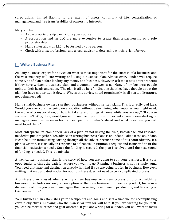corporations: limited liability to the extent of assets, continuity of life, centralization of management, and free transferability of ownership interests.

Mary's notes:

- A sole proprietorship can include your spouse.
- A corporation and an LLC are more expensive to create than a partnership or a sole proprietorship.
- Many states allow an LLC to be formed by one person.
- Check with a tax professional and a legal advisor to determine which is right for you.

# ! **Write a Business Plan**

Ask any business expert for advice on what is most important for the success of a business, and the vast majority will cite writing and using a business plan. Almost every lender will require some type of plan before lending any money to a business. However, ask most new entrepreneurs if they have written a business plan, and a common answer is no. Many of my business people point to their heads and claim, "The plan is all up here" indicating that they have thought about the plan but have not written it down. Why is this advice, noted prominently in all startup literature, not being heeded?

Many small-business owners run their businesses without written plans. This is a really bad idea. Would you ever consider going on a vacation without determining what supplies you might need, the mode of transportation, or how to take care of things at home while you're away? Of course you wouldn't. Why, then, would you set off on one of your most important adventures—starting or managing your business—without a clear picture of what's ahead and what resources you will need to get there?

Most entrepreneurs blame their lack of a plan on not having the time, knowledge, and research needed to put it together. Yet, advice on writing business plans is abundant—almost too abundant. It can be quite intimidating sorting through all the advice because some of it is contradictory. If a plan is written, it is usually in response to a financial institution's request and formatted to fit the financial institution's needs. Once the funding is secured, the plan is shelved until the next round of funding is needed. This is a mistake.

A well-written business plan is the story of how you are going to run your business. It is your opportunity to chart the path for where you want to go. Running a business is not a simple jaunt. You need that map and destination already in mind if you are going to *stay* in business. However, writing that map and destination for your business does not need to be a complicated process.

A business plan is used when starting a new business or a new process or product within a business. It includes not only a description of the new business, process, or product, but also a discussion of how you plan on managing the marketing, development, production, and financing of this new venture."

Your business plan establishes your checkpoints and goals and sets a timeline for accomplishing certain objectives. Knowing who the plan is written for will help. If you are writing for yourself, you can be more succinct and goal-oriented. If you are writing for a lender, you will want to focus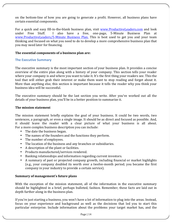on the bottom-line of how you are going to generate a profit. However, all business plans have certain essential components.

For a quick and easy fill-in-the-blank business plan, visit www.ProductiveLeaders.com and look under Free Stuff. I also have a free, one-page, 5-Minute Business Plan at www.ProductiveLeaders/5-Minute Business Plan. This is best used to get you and your team thinking and focused on what you need to do to develop a more comprehensive business plan that you may need later for financing.

# The essential components of a business plan are:

#### **The Executive Summary**

The executive summary is the most important section of your business plan. It provides a concise overview of the entire plan along with a history of your company. This section tells your reader where your company is and where you want to take it. It's the first thing your readers see. This the tool that will either grab their interest or make them want to stop reading and forget about it. More than anything else, this section is important because it tells the reader why you think your business idea will be successful.

The executive summary should be the last section you write. After you've worked out all the details of your business plan, you'll be in a better position to summarize it.

#### **The mission statement**

The mission statement briefly explains the goal of your business. It could be two words, two sentences, a paragraph, or even a single image. It should be as direct and focused as possible. And, it should leave the reader with a clear picture of what your business is all about. For a more complex business description you can include:

- The date the business began.
- The names of the founders and the functions they perform.
- The number of employees.
- The location of the business and any branches or subsidiaries.
- A description of the plant or facilities.
- Products manufactured/services rendered.
- Banking relationships and information regarding current investors.
- A summary of past or projected company growth, including financial or market highlights (e.g., your company doubled its worth over a twelve-month period; you became the first company in your industry to provide a certain service).

#### **Summary of management's future plans**

With the exception of the mission statement, all of the information in the executive summary should be highlighted in a brief, perhaps bulleted, fashion. Remember, these facts are laid out in depth further along in the business plan.

If you're just starting a business, you won't have a lot of information to plug into the areas. Instead, focus on your experience and background as well as the decisions that led you to start this particular enterprise. Include information about the problems your target market has, and the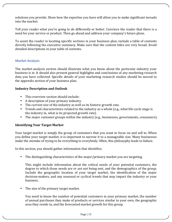solutions you provide. Show how the expertise you have will allow you to make significant inroads into the market.

Tell your reader what you're going to do differently or better. Convince the reader that there is a need for your service or product. Then go ahead and address your company's future plans.

To assist the reader in locating specific sections in your business plan, include a table of contents directly following the executive summary. Make sure that the content titles are very broad. Avoid detailed descriptions in your table of contents.

# **Market Analysis**

The market-analysis section should illustrate what you know about the particular industry your business is in. It should also present general highlights and conclusions of any marketing research data you have collected. Specific details of your marketing research studies should be moved to the appendix section of your business plan.

# **Industry Description and Outlook**

- This overview section should include:
- A description of your primary industry.
- The current size of the industry as well as its historic growth rate.
- Trends and characteristics related to the industry as a whole (e.g., what life-cycle stage is the industry in, what is its projected growth rate).
- The major customer groups within the industry (e.g., businesses, governments, consumers).

# **Identifying Your Target Market**

Your target market is simply the group of customers that you want to focus on and sell to. When you define your target market, it is important to narrow it to a manageable size. Many businesses make the mistake of trying to be everything to everybody. Often, this philosophy leads to failure.

In this section, you should gather information that identifies:

• The distinguishing characteristics of the major/primary market you are targeting.

This might include information about the critical needs of your potential customers, the degree to which those needs are or are not being met, and the demographics of the group. Include the geographic location of your target market, the identification of the major decision-makers, and any seasonal or cyclical trends that may impact the industry or your business.

The size of the primary target market.

You need to know the number of potential customers in your primary market, the number of annual purchases they make of products or services similar to your own, the geographic area they reside in, and the forecasted market growth for this group.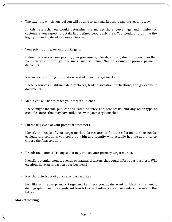• The extent to which you feel you will be able to gain market share and the reasons why.

In this research, you would determine the market-share percentage and number of customers you expect to obtain in a defined geographic area. You would also outline the logic you used to develop these estimates.

• Your pricing and gross-margin targets.

Define the levels of your pricing, your gross-margin levels, and any discount structures that you plan to set up for your business such as volume/bulk discounts or prompt payment discounts.

• Resources for finding information related to your target market.

These resources might include directories, trade association publications, and government documents.

Media you will use to reach your target audience.

These might include publications, radio or television broadcasts, and any other type of credible source that may have influence with your target market.

Purchasing cycle of your potential customers.

Identify the needs of your target market; do research to find the solutions to their needs; evaluate the solutions you come up with; and identify who actually has the authority to choose the final solution.

• Trends and potential changes that may impact your primary target market.

Identify potential trends, events, or natural disasters that could affect your business. Will elections have an impact on your business?

• Key characteristics of your secondary markets.

Just like with your primary target market, here you, again, want to identify the needs, demographics, and the significant trends that will influence your secondary markets in the future.

#### **Market Testing**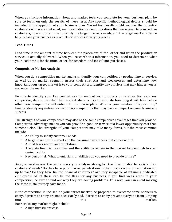When you include information about any market tests you complete for your business plan, be sure to focus on only the results of these tests. Any specific methodological details should be included in the appendix of your business plan. Market test results might include: the potential customers who were contacted, any information or demonstrations that were given to prospective customers, how important it is to satisfy the target market's needs, and the target market's desire to purchase your business's products or services at varying prices.

# **Lead Times**

Lead time is the amount of time between the placement of the order and when the product or service is actually delivered. When you research this information, you need to determine what your lead time is for the initial order, for reorders, and for volume purchases.

# **Competitive Market Analysis**

When you do a competitive market analysis, identify your competition by product line or service, as well as by market segment. Assess their strengths and weaknesses and determine how important your target market is to your competitors. Identify any barriers that may hinder you as you enter the market.

Be sure to identify your key competitors for each of your products or services. For each key competitor, determine what their market share is. Try to estimate how long it will take before other new competitors will enter into the marketplace. What is your window of opportunity? Finally, identify any indirect or secondary competitors that may have an impact on your business's success.

The strengths of your competitors may also be the same competitive advantages that you provide. Competitive advantage means you can provide a good or service at a lower opportunity cost than someone else. The strengths of your competitors may take many forms, but the most common include

- An ability to satisfy customer needs.
- A large share of the market and the consumer awareness that comes with it.
- A solid track record and reputation.
- Adequate financial resources and the ability to remain in the market long enough to start seeing profits.
- Key personnel. What talent, skills or abilities do you need to provide or hire?

Analyze weaknesses the same ways you analyze strengths. Are they unable to satisfy their customers' needs? Do they have poor market penetration? Is their track record or reputation not up to par? Do they have limited financial resources? Are they incapable of retaining dedicated employees? All of these can be red flags for any business. If you find weak areas in your competition, be sure to find out why they are having problems. This way, you can avoid making the same mistakes they have made.

If the competition is focused on your target market, be prepared to overcome some barriers to entry. Barriers to entry are not necessarily bad. Barriers to entry prevent everyone from jumping into this this market.

Barriers to any market might include:

• A high investment cost.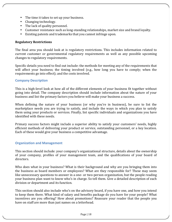- The time it takes to set up your business.
- Changing technology.
- The lack of quality personnel.
- Customer resistance such as long-standing relationships, market size and brand loyalty.
- Existing patents and trademarks that you cannot infringe upon.

# **Regulatory Restrictions**

The final area you should look at is regulatory restrictions. This includes information related to current customer or governmental regulatory requirements as well as any possible upcoming changes to regulatory requirements.

Specific details you need to find out include: the methods for meeting any of the requirements that will affect your business; the timing involved (e.g., how long you have to comply; when the requirements go into effect); and the costs involved.

# **Company Description**

This is a high-level look at how all of the different elements of your business fit together without going into detail. The company description should include information about the nature of your business and list the primary factors you believe will make your business a success.

When defining the nature of your business (or why you're in business), be sure to list the marketplace needs you are trying to satisfy, and include the ways in which you plan to satisfy them using your products or services. Finally, list specific individuals and organizations you have identified with these needs.

Primary success factors might include a superior ability to satisfy your customers' needs, highly efficient methods of delivering your product or service, outstanding personnel, or a key location. Each of these would give your business a competitive advantage.

# **Organization and Management**

This section should include: your company's organizational structure, details about the ownership of your company, profiles of your management team, and the qualifications of your board of directors.

Who does what in your business? What is their background and why are you bringing them into the business as board members or employees? What are they responsible for? These may seem like unnecessary questions to answer in a one- or two-person organization, but the people reading your business plan want to know who's in charge. So tell them. Give a detailed description of each division or department and its function.

This section should also include who's on the advisory board, if you have one, and how you intend to keep them there. What kind of salary and benefits package do you have for your people? What incentives are you offering? How about promotions? Reassure your reader that the people you have on staff are more than just names on a letterhead.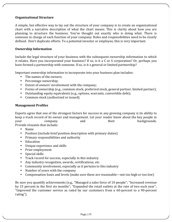# **Organizational Structure**

A simple, but effective way to lay out the structure of your company is to create an organizational chart with a narrative description of what the chart means. This is clarity about how you are planning to structure the business. You've thought out exactly who is doing what. There is someone in charge of each function of your company. Roles and responsibilities need to be clearly defined. Don't duplicate efforts. To a potential investor or employee, this is very important.

## **Ownership Information**

Include the legal structure of your business with the subsequent ownership information to which it relates. Have you incorporated your business? If so, is it a C or S corporation? Or, perhaps you have formed a partnership with someone. If so, is it a general or limited partnership?

Important ownership information to incorporate into your business plan includes:

- The names of the owners;
- Percentage ownership:
- Extent of owners' involvement with the company;
- Forms of ownership (e.g., common stock, preferred stock, general partner, limited partner);
- Outstanding equity equivalents (e.g., options, warrants, convertible debt);
- Common stock (authorized or issued).

#### **Management Profiles**

Experts agree that one of the strongest factors for success in any growing company is its ability to keep a track record of its owner and management. Let your reader know about the key people in your company and their backgrounds. Provide résumés that include:

- Name
- Position (include brief position description with primary duties)
- Primary responsibilities and authority
- Education
- Unique experience and skills
- Prior employment
- $\bullet$  Special skills
- Track record for success, especially in this industry
- Any industry recognition, awards, certifications, etc.
- Community involvement, especially as it pertains to this industry
- Number of years with the company
- Compensation basis and levels (make sure these are reasonable—not too high or too low)

Be sure you quantify achievements (e.g., "Managed a sales force of 10 people"; "Increased revenue by 15 percent in the first six months"; "Expanded the retail outlets at the rate of two each year"; "Improved the customer service as rated by our customers from a 60-percent to a 90-percent rating").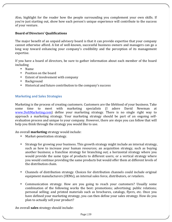Also, highlight for the reader how the people surrounding you complement your own skills. If you're just starting out, show how each person's unique experience will contribute to the success of vour venture.

# **Board of Directors' Qualifications**

The major benefit of an unpaid advisory board is that it can provide expertise that your company cannot otherwise afford. A list of well-known, successful business owners and managers can go a long way toward enhancing your company's credibility and the perception of its management expertise.

If you have a board of directors, be sure to gather information about each member of the board including

- Name
- Position on the board
- Extent of involvement with company
- Background
- Historical and future contribution to the company's success

# **Marketing and Sales Strategies**

Marketing is the process of creating customers. Customers are the lifeblood of your business. Take some time to meet with marketing specialists (I adore David Newman at www.DoItMarketing.com) define your marketing strategy. There is no single right way to approach a marketing strategy. Your marketing strategy should be part of an ongoing selfevaluation process and unique to your company. However, there are steps you can follow that will help you think through the strategy you would like to use.

An overall **marketing** strategy would include:

- Market-penetration strategy.
- Strategy for growing your business. This growth strategy might include an internal strategy, such as how to increase your human resources; an acquisition strategy, such as buying another business; a franchise strategy for branching out; a horizontal strategy where you would provide the same type of products to different users; or a vertical strategy where you would continue providing the same products but would offer them at different levels of the distribution chain.
- Channels of distribution strategy. Choices for distribution channels could include original equipment manufacturers (OEMs), an internal sales force, distributors, or retailers.
- Communication strategy. How are you going to reach your customers? Usually some combination of the following works the best: promotions; advertising; public relations; personal selling; and printed materials such as brochures, catalogs, flyers, etc. Once you have defined your marketing strategy, you can then define your sales strategy. How do you plan to actually sell your product?

An overall **sales** strategy should include: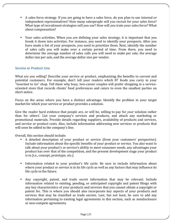- A sales force strategy. If you are going to have a sales force, do you plan to use internal or independent representatives? How many salespeople will you recruit for your sales force? What type of recruitment strategies will you use? How will you train your sales force? What about compensation?
- Your sales activities. When you are defining your sales strategy, it is important that you break it down into activities. For instance, you need to identify your prospects. After you have made a list of your prospects, you need to prioritize them. Next, identify the number of sales calls you will make over a certain period of time. From there, you need to determine the average number of sales calls you will need to make per sale, the average dollar size per sale, and the average dollar size per vendor.

# **Service or Product Line**

What are you selling? Describe your service or product, emphasizing the benefits to current and potential customers. For example, don't tell your readers which 87 foods you carry in your "Gourmet to Go" shop. Tell them why busy, two-career couples will prefer shopping in a serviceoriented store that records clients' food preferences and caters to even the smallest parties on short notice.

Focus on the areas where you have a distinct advantage. Identify the problem in your target market for which your service or product provides a solution.

Give the reader hard evidence that people are, or will be, willing to pay for *your* solution rather than for others'. List your company's services and products, and attach any marketing or promotional materials. Provide details regarding suppliers, availability of products and services, and service or product costs. Also, include information addressing new services or products that will soon be added to the company's line.

Overall, this section should include:

- A detailed description of your product or service (from your customers' perspective). Include information about the specific benefits of your product or service. You also want to talk about your product's or service's ability to meet consumer needs, any advantages your product has over that of the competition, and the present development stage your product is in (i.e., concept, prototype, etc.).
- Information related to your product's life cycle: Be sure to include information about where your product or service is in its life cycle as well as any factors that may influence its life cycle in the future.
- Any copyright, patent, and trade secret information that may be relevant. Include information related to existing, pending, or anticipated copyright and patent filings with any key characteristics of your products and services that you cannot obtain a copyright or patent for. This is where you should also incorporate key aspects of your products and services that may be classified as trade secrets. Last, but not least, be sure to add any information pertaining to existing legal agreements in this section, such as nondisclosure or non-compete agreements.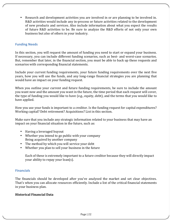Research and development activities you are involved in or are planning to be involved in. R&D activities would include any in-process or future activities related to the development of new products and services. Also include information about what you expect the results of future R&D activities to be. Be sure to analyze the R&D efforts of not only your own business but also of others in your industry.

# **Funding Needs**

In this section, you will request the amount of funding you need to start or expand your business. If necessary, you can include different funding scenarios, such as best- and worst-case scenarios. But, remember that later, in the financial section, you must be able to back up these requests and scenarios with corresponding financial statements.

Include your current funding requirements, your future funding requirements over the next five years, how you will use the funds, and any long-range financial strategies you are planning that would have an impact on your funding request.

When you outline your current and future funding requirements, be sure to include the amount you want now and the amount you want in the future, the time period that each request will cover, the type of funding you would like to have (e.g., equity, debt), and the terms that you would like to have applied.

How you use your funds is important to a creditor. Is the funding request for capital expenditures? Working capital? Debt retirement? Acquisitions? List in this section.

Make sure that you include any strategic information related to your business that may have an impact on your financial situation in the future, such as:

- Having a leveraged buyout
- Whether you intend to go public with your company Being acquired by another company
- The method by which you will service your debt
- Whether you plan to sell your business in the future

Each of these is extremely important to a future creditor because they will directly impact your ability to repay your loan(s).

# **Financials**

The financials should be developed after you've analyzed the market and set clear objectives. That's when you can allocate resources efficiently. Include a list of the critical financial statements in your business plan.

# **Historical Financial Data**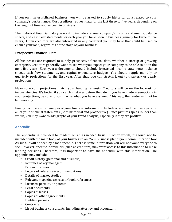If you own an established business, you will be asked to supply historical data related to your company's performance. Most creditors request data for the last three to five years, depending on the length of time you've been in business.

The historical financial data you want to include are your company's income statements, balance sheets, and cash flow statements for each year you have been in business (usually for three to five years). Often creditors are also interested in any collateral you may have that could be used to ensure your loan, regardless of the stage of your business.

# **Prospective Financial Data**

All businesses are required to supply prospective financial data, whether a startup or growing enterprise. Creditors generally want to see what you expect your company to be able to do in the next five years. Each year's documents should include forecasted income statements, balance sheets, cash flow statements, and capital expenditure budgets. You should supply monthly or quarterly projections for the first year. After that, you can stretch it out to quarterly or yearly projections.

Make sure your projections match your funding requests. Creditors will be on the lookout for inconsistencies. It's better if you catch mistakes before they do. If you have made assumptions in your projections, be sure to summarize what you have assumed. This way, the reader will not be left guessing.

Finally, include a short analysis of your financial information. Include a ratio and trend analysis for all of your financial statements (both historical and prospective). Since pictures speak louder than words, you may want to add graphs of your trend analysis, especially if they are positive.

# **Appendix**

The appendix is provided to readers on an as-needed basis. In other words, it should not be included with the main body of your business plan. Your business plan is your communication tool. As such, it will be seen by a lot of people. There is some information you will not want everyone to see. However, specific individuals (such as creditors) may want access to this information to make lending decisions. Therefore, it is important to have the appendix with this information. The appendix may include:

- Credit history (personal and business)
- Résumés of key managers
- Product pictures
- Letters of reference/recommendations
- Details of market studies
- Relevant magazine articles or book references
- Licenses, permits, or patents
- Legal documents
- Copies of leases
- Copies of other agreements
- Building permits
- **Contracts**
- List of business consultants, including attorney and accountant

Page | 23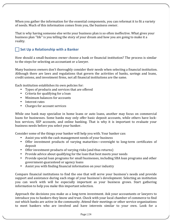When you gather the information for the essential components, you can reformat it to fit a variety of needs. Much of this information comes from you, the business owner.

That is why having someone else write your business plan is so often ineffective. What gives your business plan "life" is you telling the story of your dream and how you are going to make it a reality.

# **Set Up a Relationship with a Banker**

How should a small-business owner choose a bank or financial institution? The process is similar to the steps for selecting an accountant or a lawyer.

Many business owners don't thoroughly consider their needs when selecting a financial institution. Although there are laws and regulations that govern the activities of banks, savings and loans, credit unions, and investment firms, not all financial institutions are the same.

Each institution establishes its own policies for:

- Types of products and services that are offered
- $\bullet$  Criteria for qualifying for a loan
- Minimum balances for accounts
- Interest rates
- Charges for account services

While one bank may specialize in home loans or auto loans, another may focus on commercial loans for businesses. Some banks may only offer basic deposit accounts, while others have lockbox services, SEP accounts, and online banking. That is why it is important to evaluate your business needs before you select your banker.

Consider some of the things your banker will help you with. Your banker can:

- Assist you with the cash management needs of your business
- Offer investment products of varying maturities—overnight to long-term certificates of deposit
- Offer investment products of varying risks (and thus returns)
- Provide advice about qualifying for the loan that best meets your needs
- Provide special loan programs for small businesses, including SBA loan programs and other government-guaranteed or agency loans
- Assist you with finding financial information on your industry

Compare financial institutions to find the one that will serve your business's needs and provide support and assistance during each stage of your business's development. Selecting an institution you can work with will be especially important as your business grows. Start gathering information to help you make this important selection.

Approach the decisions you make as a long-term investment. Ask your accountants or lawyers to introduce you to bankers they know and trust. Check with your local chamber of commerce to find out which banks are active in the community. Attend their meetings or other service organizations to meet bankers who are involved and have interests similar to your own. Look for a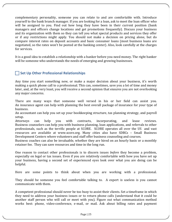complementary personality, someone you can relate to and are comfortable with. Introduce yourself to the bank branch manager. If you are looking for a loan, ask to meet the loan officer who will be assigned to you. Find out how long they have been in their current position (bank managers and officers change locations and get promotions frequently). Discuss your business and its organization with them so they can tell you what special products and services they offer or if any restrictions might apply. You should not make a decision on pricing alone, but do compare interest rates on deposit accounts and basic consumer loans (most business loans are negotiated, so the rates won't be posted at the banking center). Also, look carefully at the charges for services.

It is a good idea to establish a relationship with a banker before you need money. The right banker will be someone who understands the needs of emerging and growing businesses.

# **Set Up Other Professional Relationships**

Any time you start something new, or make a major decision about your business, it's worth making a quick phone call to a professional. This can, sometimes, save you a lot of time and money later, and, at the very least, you will receive a second opinion that ensures you are not overlooking any major concerns.

There are many ways that someone well versed in his or her field can assist you. An insurance agent can help with planning the best overall package of insurance for your type of business. 

An accountant can help you set up your bookkeeping structure, tax planning strategy, and payroll setup. 

Attorneys can help you with contracts, incorporating, and lease reviews. Business counselors can help you with business planning, loan applications, and referrals to other professionals, such as the terrific people at SCORE. SCORE operates all over the US and vast resources are available at www.score.org. Many cities also have SDBCs - Small Business Development Centers where volunteers and staff offer business counseling and courses.

Business coaches can also be invaluable, whether they are hired on an hourly basis or a monthly retainer fee. They can save resources and time in the long run.

One reason to contact other professionals is to discern issues *before* they become a problem, especially on legal or tax issues. Even if you are relatively comfortable with how you have set up your business, having a second set of experienced eyes look over what you are doing can be helpful.

Here are some points to think about when you are working with a professional.

They should be someone you feel comfortable talking to. A expert is useless is you cannot communicate with them.

A competent professional should never be too busy to assist their clients. Set a timeframe in which they need to address your business issues or to return phone calls (understand that it could be another staff person who will call or meet with you). Figure out what communication method works best: phone, video-conference, e-mail, or mail. Ask about billing rates and payment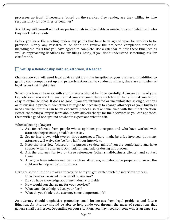processes up front. If necessary, based on the services they render, are they willing to take responsibility for any fines or penalties?

Ask if they will consult with other professionals in other fields as needed on your behalf, and who they work with already.

Before you leave the meeting, review any points that have been agreed upon for services to be provided. Clarify any research to be done and review the projected completion timetable, including the tasks that you have agreed to complete. Use a calendar to note these timelines as well as approaching deadlines for tax filings. Lastly, if you don't understand something, ask for clarification.

# **Set Up a Relationship with an Attorney, if Needed**

Chances are you will need legal advice right from the inception of your business., In addition to getting your company set up and properly authorized to conduct business, there are a number of legal issues that might arise.

Selecting a lawyer to work with your business should be done carefully. A lawyer is one of your key advisors. You want to ensure that you are comfortable with him or her and that you find it easy to exchange ideas. It does no good if you are intimidated or uncomfortable asking questions or discussing a problem. Sometimes it might be necessary to change attorneys as your business needs change, but this can be an expensive process, so take some time with the initial selection. Before contacting a lawyer, learn about how lawyers charge for their services so you can approach them with a good background of what to expect and what to ask.

When selecting a lawyer:

- 1. Ask for referrals from people whose opinions you respect and who have worked with attorneys representing small businesses.
- 2. Set up interviews with two or three attorneys. There might be a fee involved, but many attorneys will waive the fee for a half-hour interview.
- 3. Keep the interview focused on its purpose to determine if you are comfortable and have rapport with the attorney. Don't ask for legal advice during this process.
- 4. Ask the attorney for two or three references (other small-business clients), and contact them.
- 5. After you have interviewed two or three attorneys, you should be prepared to select the right one to help with your business.

Here are some questions to ask attorneys to help you get started with the interview process:

- How have you assisted other small businesses?
- Do you have knowledge about my industry or field?
- How would you charge me for your services?
- What can I do to help reduce your fees?
- What do you think is the attorney's most important job?

An attorney should emphasize protecting small businesses from legal problems and future litigation. An attorney should be able to help guide you through the maze of regulations that govern small businesses. Depending on your situation, you may need someone who is an expert at

Page | 26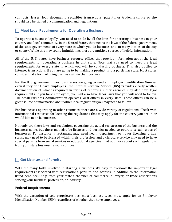contracts, leases, loan documents, securities transactions, patents, or trademarks. He or she should also be skilled at communication and negotiations.

# **T** Meet Legal Requirements for Operating a Business

To operate a business legally, you need to abide by all the laws for operating a business in your country and local community. In the United States, that means the laws of the federal government, of the state governments of every state in which you do business, and, in many locales, of the city or county. While this may sound intimidating, there are multiple sources of helpful information.

All of the U. S. states have business resource offices that provide information about the legal requirements for operating a business in that state. Note that you need to meet the legal requirements for every state in which you will be conducting business. This also applies to Internet transactions if you are going to be mailing a product into a particular state. Most states consider that a form of doing business within their borders.

For the U. S. government, most businesses are going to need an Employer Identification Number even if they don't have employees. The Internal Revenue Service (IRS) provides clearly written documentation of what is required in terms of reporting. Other agencies may also have legal requirements. If you have employees, you will also have labor laws that you will need to follow. The Small Business Administration operates local offices in every state. These offices can be a great source of information about other local regulations you may need to follow.

For businesses operating in other countries, there are a wide variety of regulations. Check with international resources for locating the regulations that may apply for the country you are in or would like to do business in.

Not only are there laws and regulations governing the actual registration of the business and the business name, but there may also be licenses and permits needed to operate certain types of businesses. For instance, a restaurant may need health-department or liquor licensing, a hair stylist may need to be licensed within their profession, and a childcare service may need to have special permits from social services or educational agencies. Find out more about such regulations from your state business resource offices.

# **Get Licenses and Permits**

With the many tasks involved in starting a business, it's easy to overlook the important legal requirements associated with registrations, permits, and licenses. In addition to the information listed here, seek help from your state's chamber of commerce, a lawyer, or trade associations serving your business, profession, or industry.

# **Federal Requirements**

With the exception of sole proprietorships, most business types must apply for an Employer Identification Number (EIN) regardless of whether they have employees.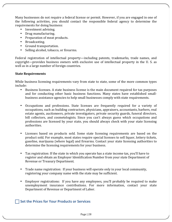Many businesses do not require a federal license or permit. However, if you are engaged in one of the following activities, you should contact the responsible federal agency to determine the requirements for doing business:

- Investment advising.
- Drug manufacturing.
- Preparation of meat products.
- Broadcasting.
- Ground transportation.
- Selling alcohol, tobacco, or firearms.

Federal registration of intellectual property—including patents, trademarks, trade names, and copyright—provides business owners with exclusive use of intellectual property in the U.S. as well as in a large number of foreign countries.

# **State Requirements**

While business licensing requirements vary from state to state, some of the more common types include:

- Business licenses. A state business license is the main document required for tax purposes and for conducting other basic business functions. Many states have established smallbusiness assistance agencies to help small businesses comply with state requirements.
- Occupations and professions. State licenses are frequently required for a variety of occupations, such as building contractors, physicians, appraisers, accountants, barbers, real estate agents, auctioneers, private investigators, private security guards, funeral directors, bill collectors, and cosmetologists. Since you can't always guess which occupations and professions are licensed by your state, you should always check with your state licensing authorities.
- Licenses based on products sold. Some state licensing requirements are based on the product sold. For example, most states require special licenses to sell liquor, lottery tickets, gasoline, marijuana (where legal) and firearms. Contact your state licensing authorities to determine the licensing requirements for your business.
- Tax registration: If the state in which you operate has a state income tax, you'll have to register and obtain an Employer Identification Number from your state Department of Revenue or Treasury Department.
- Trade name registration: If your business will operate only in your local community. registering your company name with the state may be sufficient.
- Employer registrations: If you have any employees, you'll probably be required to make unemployment insurance contributions. For more information, contact your state Department of Revenue or Department of Labor.

# **Set the Prices for Your Products or Services**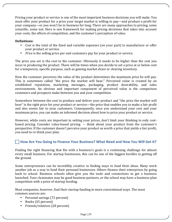Pricing your product or service is one of the most important business decisions you will make. You must offer your product for a price your target market is willing to pay—and produce a profit for your company—or you won't be in business for long. There are many approaches to pricing, some scientific, some not. Here is one framework for making pricing decisions that takes into account your costs, the effects of competition, and the customer's perception of value.

# **Definitions:**

- *Cost* is the total of the fixed and variable expenses (on your part) to manufacture or offer your product or service.
- *Price* is the selling price per unit customers pay for your product or service.

The price you set is the cost to the customer. Obviously it needs to be higher than the cost you incur in producing the product. There will be times when you decide to set a price at or below cost for a temporary, specific purpose, such as gaining market share or clearing inventory.

How the customer perceives the value of the product determines the maximum price he will pay. This is sometimes called "the price the market will bear." Perceived value is created by an established reputation, marketing messages, packaging, product desirability, and sales environments. An obvious and important component of perceived value is the comparison customers and prospects make between you and your competition.

Somewhere between the cost to produce and deliver your product and "the price the market will bear" is the right price for your product or service—the price that enables you to make a fair profit and also seems fair to your customers. Consequently, once you understand your cost and your maximum price, you can make an informed decision about how to price your product or service.

However, while costs are important in setting your prices, don't limit your thinking to only costbased pricing. Consider value-based pricing -- think about your product from the customer's perspective. If the customer doesn't perceive your product as worth a price that yields a fair profit, you need to re-think your plan.

# **How Are You Going to Finance Your Business? What Need and How You Will Get It?**

Finding the right financing that fits with a business's goals is a continuing challenge for almost every small business. For startup businesses, this can be one of the biggest hurdles in getting off the ground.

Some entrepreneurs can be incredibly creative in finding ways to fund their ideas. Many work another job as a way to fund their personal businesses. Others finance their enterprises by going back to school. Business schools often give you the tools and connections to get a business launched. Your classmates may be good business partners, or the school may have a business-plan competition with a prize of startup funding.

Most companies, however, find their startup funding in more conventional ways. The most common sources are:

- Personal savings (72 percent)
- Banks (45 percent)
- Friends/relatives (28 percent)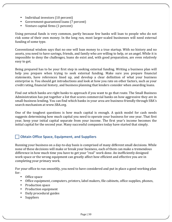- Individual investors  $(10$  percent)
- Government-guaranteed loans (7 percent)
- Venture capital firms (1 percent)

Using personal funds is very common, partly because few banks will loan to people who do not risk some of their own money. In the long run, most larger-scaled businesses will need external funding of some type.

Conventional wisdom says that no one will loan money to a true startup. With no history and no assets, you need to have savings, friends, and family who are willing to help, or an angel. While it is impossible to deny the challenges, loans do exist and, with good preparation, are even relatively easy to get.

Being prepared has to be your first step in seeking external funding. Writing a business plan will help you prepare when trying to seek external funding. Make sure you prepare financial statements, have references lined up, and develop a clear definition of what your business enterprise is. You should get introductions and look at how you rate on other factors, such as your credit rating, financial history, and business planning that lenders consider when awarding loans.

Find out which banks are right banks to approach if you want to go that route. The Small Business Administration has put together a list that scores commercial banks on how aggressive they are in small-business lending. You can find which banks in your area are business-friendly through SBA's search mechanism at www.SBA.org.

One of the toughest questions is how much capital is enough. A quick model for cash needs suggests determining how much capital you need to operate your business for one year. That first year, keep your initial capital separate from your income. The first year's income becomes the initial capital for the second year. Many successful companies today have started that simply.

# **Obtain Office Space, Equipment, and Suppliers**

Running your business on a day-to-day basis is comprised of many different small decisions. While none of these decisions will make or break your business, each of them can make a tremendous difference in how much time you have to get your "real" work done. An inefficiently designed work space or the wrong equipment can greatly affect how efficient and effective you are in completing your primary work.

For your office to run smoothly, you need to have considered and put in place a good working plan for:

- Office space
- Office equipment, computers, printers, label makers, file cabinets, office supplies, phones,
- Production space
- Production equipment
- Daily procedural guides
- Suppliers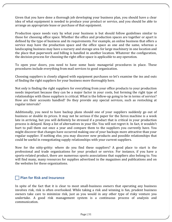Given that you have done a thorough job developing your business plan, you should have a clear idea of what equipment is needed to produce your product or service, and you should be able to arrange an appropriate lease or purchase of that equipment.

Production space needs vary by what your business is but should follow guidelines similar to those for choosing office space. Whether the office and production spaces are together or apart is defined by the type of business and its requirements. For example, an online business that offers a service may have the production space and the office space as one and the same, whereas a landscaping business may have a nursery and storage area for large machinery in one location and the place that paperwork and billing is handled in another location. Whatever the configuration, the decision process for choosing the right office space is applicable to any operation.

To open your doors, you need to have some basic managerial procedures in place. These procedures include everything from mail services to good organization.

Choosing suppliers is closely aligned with equipment purchases so let's examine the ins and outs of finding the right suppliers for your business more thoroughly here.

Not only is finding the right suppliers for everything from your office products to your production needs important because they can be a major factor in your costs, but forming the right type of relationships with those suppliers is critical. What is the follow-up going to be in terms of service? How are their accounts handled? Do they provide any special services, such as restocking at regular intervals?

Additionally, you need to have backup plans should one of your suppliers suddenly go out of business or double its prices. It may not be serious if the paper for the Xerox machine is a week late in arriving, but you will definitely be stressed if a product that is critical in your production process is delayed. Keep a list of alternatives in your file. You will not regret it. In fact, it wouldn't hurt to pull them out once a year and compare them to the suppliers you currently have. You might discover that changes have occurred making one of your backups more attractive than your regular supplier. If nothing else, you may discover new products and possible relationships that could be useful in renegotiating supply relationships with your current suppliers.

Now for the nitty-gritty: where do you find these suppliers? A good place to start is the professional and trade organizations for your product or service. For instance, if you have a sports-related product, there are numerous sports associations that suppliers also belong to. You will find many, many resources for supplies advertised in the magazines and publications and on the websites for these organizations.

# **Plan for Risk and Insurance**

In spite of the fact that it is clear to most small-business owners that operating any business involves risk, risk is often overlooked. While taking a risk and winning is fun, prudent business owners take care to minimize risk, just as you would in any other type of risky venture you undertake. A good risk management system is a continuous process of analysis and communication.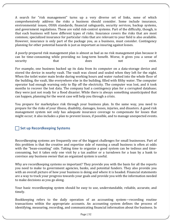A search for "risk management" turns up a very diverse set of links, none of which comprehensively address the risks a business should consider. Some include insurance, environmental issues, OSHA standards, financial safeguards, security services, backup systems, and government regulations. These are valid risk-control systems. Part of the difficulty, though, is that each business will have different types of risks. Insurance covers the risks that are most common; specialized insurance for particular risks that are relevant to your field is also available. However, insurance is only part of the package you, as a business, must consider. Contingency planning for other potential hazards is just as important as insuring against losses.

A poorly-prepared risk management plan is almost as bad as no risk management plan because it can be time-consuming while providing no long-term benefit. Worse, it gives you a sense of security that that does not exist.

For example, one business backed up its data from its computer on a data-storage device and stored the device in nearby vault. The vault was closed and sealed when they left for the night. When the toilet water main broke during working hours and water rushed into the whole floor of the building, the vault, like everywhere else in the building, filled with filthy water. The computer operator had enough warning only to flip off the electricity. The computer was lost, and it took months to recover the lost data. The company had a contingency plan for a corrupted database; they were just not ready for a flood disaster. While there is always something unanticipated that can happen, planning for the worst case will help you through a crisis.

You prepare for marketplace risk through your business plan. In the same way, you need to prepare for the risks of your illness, disability, damages, losses, injuries, and disasters. A good risk management system not only has adequate insurance coverage to compensate for losses that might occur; it also includes a plan to prevent losses, if possible, and to manage unexpected events.

# **Set up Recordkeeping Systems**

Recordkeeping systems are frequently one of the biggest challenges for small businesses. Part of this problem is that the creative and expertise side of running a small business is often at odds with the "bean-counting" side. Taking time to organize a good system can be tedious and timeconsuming, but it takes only one visit by a tax auditor or a turndown for a loan by a bank to convince any business owner that an organized system is useful.

Why are recordkeeping systems so important? They provide you with the basis for all the reports you need to make to government agencies, banks, and potential funders. They also provide you with an overall picture of how your business is doing and where it is headed. Financial statements are a way to track your progress towards your goals and provide you with the information needed to make decisions as you go along.

Your basic recordkeeping system should be easy to use, understandable, reliable, accurate, and timely. 

Bookkeeping refers to the daily operation of an accounting system—recording routine transactions within the appropriate accounts. An accounting system defines the process of identifying, measuring, recording, and communicating financial information about the business. In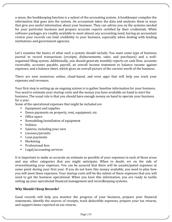a sense, the bookkeeping function is a subset of the accounting system. A bookkeeper compiles the information that goes into the system. An accountant takes the data and analyzes them in ways that give you useful information about your business. They can advise you on the systems needed for your particular business and prepare accurate reports certified by their credentials. While software packages are readily available to meet almost any accounting need, having an accountant review your records can lend credibility to your business, especially when dealing with lending institutions and government agencies.

Let's examine the basics of what such a system should include. You want some type of business journal to record transactions (receipts, disbursements, sales, and purchases) and a wellorganized filing system. Additionally, you should generate monthly reports on cash flow, accounts receivable, accounts payable, payroll, an overall income statement to balance income against expenses, and a balance sheet, which gives an overall picture of the current worth of the business.

There are now numerous online, cloud-based, and even apps that will help you track your expenses and revenues.

Your first step in setting up an ongoing system is to gather baseline information for your business. You need to estimate your startup costs and the money you have available on hand to start the business. The usual rule is that you should have enough money on hand to operate your business for a year.

Some of the operational expenses that might be included are

- Equipment and supplies
- Down payments on property, rent, equipment, etc.
- Office space
- Remodeling/installation of equipment
- Utilities
- Salaries, including your own
- Licenses/permits
- Loan payments
- Marketing
- Professional fees
- Legal/accounting services

It is important to make as accurate an estimate as possible of your expenses in each of these areas and any other categories that you might anticipate. When in doubt, err on the side of overestimating your expenses. You can be assured that there will be unanticipated expenses at some point during your first year. If you do not have this money available, you need to plan how you will meet these expenses. Your startup costs will be the subset of these expenses that you will need to get the business operational. When you have this information, you are ready to tackle setting up your operational financial management and recordkeeping systems.

# **Why Should I Keep Records?**

Good records will help you monitor the progress of your business, prepare your financial statements, identify the sources of receipts, track deductible expenses, prepare your tax returns, and support items reported on tax returns.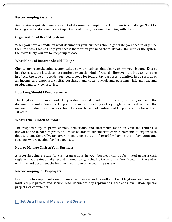# **Recordkeeping Systems**

Any business quickly generates a lot of documents. Keeping track of them is a challenge. Start by looking at what documents are important and what you should be doing with them.

#### **Organization of Record Systems**

When you have a handle on what documents your business should generate, you need to organize them in a way that will help you access them when you need them. Usually, the simpler the system, the more likely you are to keep it up to date.

#### **What Kinds of Records Should I Keep?**

Choose any recordkeeping system suited to your business that clearly shows your income. Except in a few cases, the law does not require any special kind of records. However, the industry you are in affects the type of records you need to keep for federal tax purposes. Definitely keep records of all income and expenses, capital purchases and costs, payroll and personnel information, and product and service histories.

#### **How Long Should I Keep Records?**

The length of time you should keep a document depends on the action, expense, or event the document records. You must keep your records for as long as they might be needed to prove the income or deductions on a tax return. I err on the side of caution and keep all records for at least 10 years. 

#### **What Is the Burden of Proof?**

The responsibility to prove entries, deductions, and statements made on your tax returns is known as the burden of proof. You must be able to substantiate certain elements of expenses to deduct them. Generally, taxpayers meet their burden of proof by having the information and receipts, where needed for the expenses.

#### **How to Manage Cash in Your Business**

A recordkeeping system for cash transactions in your business can be facilitated using a cash register that creates a daily record automatically, including tax amounts. Verify totals at the end of each day and document the income in your overall accounting system.

#### **Recordkeeping for Employers**

In addition to keeping information on all employees and payroll and tax obligations for them, you must keep it private and secure. Also, document *any* reprimands, accolades, evaluation, special projects, or complaints.

# **Set Up a Financial Management System**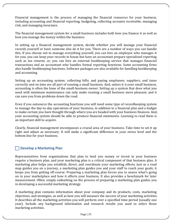Financial management is the process of managing the financial resources for your business, including accounting and financial reporting, budgeting, collecting accounts receivable, managing risk, and managing insurance.

The financial management system for a small business includes both how you finance it as well as how you manage the money within the business.

In setting up a financial management system, decide whether you will manage your financial records yourself or have someone else do it for you. There are a number of ways you can handle this. If you choose not to manage everything yourself, you can hire an employee who manages it for you; you can keep your records in house but have an accountant prepare specialized reporting such as tax returns; or, you can hire an external bookkeeping service that manages financial transactions and an accountant who handles formal reporting functions. Some accounting firms also handle bookkeeping functions. Software packages are also available for handling bookkeeping and accounting.

Setting up an accounting system; collecting bills; and paying employees, suppliers, and taxes correctly and on time are all part of running a small business. And, unless it *is* your small business, accounting is often the bane of the small-business owner. Setting up a system that does what you need with minimum maintenance can only make running a small business more pleasant, and it can save you from problems down the road.

Even if you outsource the accounting functions you will need some type of recordkeeping system to manage the day-to-day operations of your business, in addition to a financial plan and a budget to make certain you have thought through where you are headed with your business finances. And, your accounting system should be able to produce financial statements. Learning to read them is an important skill to acquire.

Clearly, financial management encompasses a crucial area of your business. Take time to set it up right and adjust as necessary. It will make a significant difference in your stress level and the bottom line for your business.

# **Develop a Marketing Plan**

Representatives from organizations that plan to lend you money or invest in your business require a business plan, and your marketing plan is a critical component of that business plan. A marketing plan helps you establish, direct, and coordinate your marketing efforts. Just as a road map guides you on a journey, a marketing plan guides you and your staff to reach your goals; it keeps you from getting off-course. Preparing a marketing plan forces you to assess what's going on in your marketplace and how it affects your business. It also provides a benchmark for later measurement. Often, simply embarking on the process of preparing a marketing plan guides you in developing a successful marketing strategy.

A marketing plan contains information about your company and its products, costs, marketing objectives, and strategies, as well as how you will measure the success of your marketing activities. It describes all the marketing activities you will perform over a specified time period (usually one year). Include any background information and research results you used to select those marketing activities.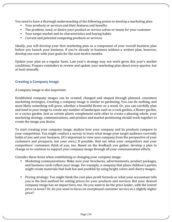You need to have a thorough understanding of the following points to develop a marketing plan:

- Your products or services and their features and benefits
- The problem, need, or desire your product or service solves or meets for your customer
- Your target market and its characteristics and buying habits
- Current and potential competing products or services

Ideally, you will develop your first marketing plan as a component of your overall business plan before you launch your business. If you're already in business without a written plan, however, develop one now with your goals for the next twelve months.

Update your plan on a regular basis. Last year's strategy may not work given this year's market conditions. Prepare reminders to review and update your marketing plan about every quarter, but at least annually.

# **Creating a Company Image**

# A company image is also important.

Established company images can be created, changed and shaped through planned, consistent marketing strategies. Creating a company image is similar to gardening. You can do nothing, and most likely something will grow, whether a beautiful flower or a weed. Or, you can carefully plan and tend to your image to create any number of landscapes such as a rock garden, a flower garden, or a cactus garden. Just as certain plants complement each other to create a pleasing whole, your marketing strategy, communications, and product and market positioning should work together to create the image you desire.

To start creating your company image, analyze how your company and its products compare to your competition. You might conduct a survey to learn what image your target audience currently holds of you and your business. (It's important to view your company from the perspective of your customers and prospects, not your own.) If possible, find out what your competitors and your competitors' customers think of you, too. Based on the feedback you gather, develop a plan to change or to continue to support your company image through all your communication efforts.

Consider these items when establishing or changing your company image:

- Marketing communications: Make sure your brochures, advertisements, product packages, and business cards reflect your image. For example, a company that plans children's parties might create materials that look fun and youthful by using bright colors and cheery images.
- Pricing strategy: You might think the cost-plus-profit formula or what your accountant tells you is the best method for setting prices for your products and services. But your desired company image has an impact here, too. Do you want to be the price leader, with the lowest price in town? Or, do you want to focus on exceptional customer service at a slightly higher price?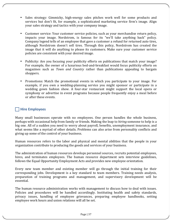- Sales strategy: Gimmicky, high-energy sales pitches work well for some products and services but don't fit, for example, a sophisticated marketing service firm's image. Align your sales strategy and tactics with your company image.
- Customer service: Your customer service policies, such as your merchandise return policy, impacts your image. Nordstrom, is famous for its "we'll take anything back" policy. Company legend tells of an employee that gave a customer a refund for returned auto tires, although Nordstrom doesn't sell tires. Through this policy, Nordstrom has created the image that it will do anything to please its customers. Make sure your customer service policies are consistent with your desired image.
- Publicity: Are you focusing your publicity efforts on publications that match your image? For example, the owner of a luxurious bed-and-breakfast would focus publicity efforts on magazines such as *Town and Country* rather than publications appealing to bargain shoppers.
- Promotions: Match the promotional events in which you participate to your image. For example, if you own a wedding-planning service you might sponsor or participate in a wedding gown fashion show. A four-star restaurant might support the local opera or symphony or advertise in event programs because people frequently enjoy a meal before or after these events.

# **Hire Employees**

Many small businesses operate with no employees. One person handles the whole business, perhaps with occasional help from family or friends. Making the leap to *hiring* someone to help is a big one. All of a sudden you need to worry about payroll, benefits, unemployment insurance, and what seems like a myriad of other details. Problems can also arise from personality conflicts and giving up some of the control of your business.

Human resources refers to the labor and physical and mental abilities that the people in your organization contribute to producing the goods and services of your business.

The administration of human resources develops personnel sources, recruits potential employees, hires, and terminates employees. The human resource department sets interview guidelines, follows the Equal Opportunity Employment Acts and provides new employee orientation.

Every new team member and existing member will go through the initial training for their corresponding jobs. Development is a key standard to team members. Training needs analysis, preparation of training programs and management, and supervisory development will be essential. 

The human resource administration works with management to discuss how to deal with issues. Policies and procedures will be handled accordingly. Instituting health and safety standards, privacy issues, handling of employee grievances, preparing employee handbooks, setting employee work hours and union relations will all be set.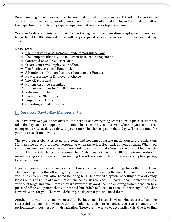Recordkeeping for employees must be well maintained and kept secure. HR will make certain to adhere to all labor laws governing employers, maintain individual employee files, maintain all of the department records and prepare departmental reports for top management.

Wage and salary administration will follow through with compensation, employment taxes, and fringe benefits. HR administration will prepare job descriptions, oversee job analysis and pay surveys.

## **Resources:**

- $\rightarrow$  The American Bar Association Guide to Workplace Law
- $\rightarrow$  The Complete Idiot's Guide to Human Resource Management
- $\rightarrow$  Contented Cows Give Better Milk
- $\rightarrow$  Create Your Own Employee Handbook
- $\rightarrow$  The Employer's Legal Handbook
- $\rightarrow$  A Handbook of Human Resource Management Practice
- $\rightarrow$  How to Become an Employer of Choice
- $\rightarrow$  The HR Scorecard
- $\rightarrow$  Human Resource Essentials
- $\rightarrow$  Human Resources for Small Businesses
- $\rightarrow$  Retirement Bible
- $\rightarrow$  www.Smart Staffing.us
- $\rightarrow$  Employment Taxes
- $\rightarrow$  Operating a Small Business

# **Develop a Day-to-Day Managerial Plan**

You have reviewed your checklists multiple times, and everything seems to be in place. It's time to take the big step and open your doors. This is when you discover whether you are a real entrepreneur. What do you do with your time? The choices you make today will set the tone for your business from now on.

The two biggest obstacles to getting going and keeping going are motivation and organization. Many people have no problem responding when there is a clear task in front of them. When you start a business, you do not have someone telling you what to do. You are the one making the lists and making certain things are accomplished. This does not mean just filling customer orders; it means taking care of everything—keeping the office clean, ordering necessary supplies, paying taxes, and so on.

If you are going to stay in business, sometimes you have to tolerate doing things that aren't fun. The trick to pulling this off is to give yourself little rewards along the way. For example, I worked with one entrepreneur who hated handling bills. He devised a system of setting a row of candy kisses on his desk. He allowed himself one candy kiss for each bill paid. It can be nice to have a variety of large and small items that are rewards. Rewards can be anything from a new pen to a piece of office equipment that you wanted but didn't feel was an absolute necessity. Find what rewards work for you. There will definitely be days that you will need them.

Another motivator that many successful business people use is visualizing success. Just like successful athletes use visualization to enhance their performance, you can enhance your performance in business with visualization. There are two ways to accomplish this. One is to find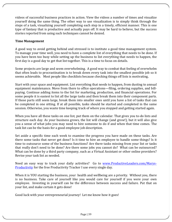videos of successful business practices in action. View the videos a number of times and visualize yourself doing the same thing. The other way to use visualization is to simply think through the steps of a task, visualizing yourself completing each step in a timely, efficient manner. This is one type of fantasy that is productive and actually pays off. It may be hard to believe, but the success stories reported from using such techniques cannot be denied.

# **Time Management**

A good way to avoid getting behind and stressed is to institute a good time management system. To manage your time well, you need to have a complete list of everything that needs to be done. If you have been too busy while setting up the business to list everything that needs to happen, the first day is a good day to get that list together. This is a time to focus on details.

Some projects are large and seem overwhelming. A good way to combat that feeling of overwhelm that often leads to procrastination is to break down every task into the smallest possible job so it seems achievable. Most people like checklists because checking things off lists is motivating,

Start with your space and equipment. List everything that needs to happen, from dusting to annual equipment maintenance. Move from there to office operations—filing, ordering supplies, and billpaying. Continue adding items to the list for marketing, production, and financial operations. For some people it is easiest to list all the large tasks and then break them into their component parts. If those parts still seem large, break them into smaller ones until you have a list of tasks that can be completed in one sitting. If at all possible, tasks should be started and completed in the same session. Otherwise, you waste time keeping track of where you stopped and getting started again.

When you have all these tasks on one list, put them on the calendar. That gives you to-do lists and structure each day. As your business grows, the list will change (and grow!), but it will also give you a sense of what jobs you may need to hire someone to do if and when that time comes. The task list can be the basis for a good employee job description.

Set aside a specific time each week to examine the progress you have made on these tasks. Are there some tasks that never get done? Is it time to hire an employee to handle some things? Is it time to outsource some of the business functions? Are there tasks missing from your list or tasks that really don't need to be done? Are there some jobs you cannot do? What can be outsourced? What can be done by a third party company, such as a Virtual Assistant or other online providers? Revise your task list as needed.

Need an easy way to track your daily activities? Go to www.ProductiveLeaders.com/Marys-Productivity for the free Productivity Tracker I use every single day.

When it is YOU starting the business, your health and wellbeing are a priority. Without you, there is no business. Take care of yourself like you would care for yourself if you were your own employee. Investing in yourself can be the difference between success and failure. Put that on your list, and make certain it gets done!

Good luck with your entrepreneurial journey! Let me know how it goes!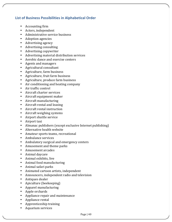# **List of Business Possibilities in Alphabetical Order**

- Accounting firm
- Actors, independent
- Administrative service business
- Adoption agencies
- Advertising agency
- Advertising consulting
- Advertising copywriter
- Advertising material distribution services
- Aerobic dance and exercise centers
- Agents and managers
- Agricultural consultant
- Agriculture, farm business
- Agriculture, fruit farm business
- Agriculture, produce farm business
- Air conditioning and heating company
- Air traffic control
- Aircraft charter services
- Aircraft equipment maker
- Aircraft manufacturing
- Aircraft rental and leasing
- Aircraft rental instruction
- Aircraft weighing systems
- Airport shuttle service
- Airport taxi
- Almanac publishers (except exclusive Internet publishing)
- Alternative health website
- Amateur sports teams, recreational
- Ambulance services
- Ambulatory surgical and emergency centers
- Amusement and theme parks
- Amusement arcades
- Animal davcare
- Animal exhibits, live
- Animal food manufacturing
- Animal safari parks
- Animated cartoon artists, independent
- Announcers, independent radio and television
- Antiques dealer
- Apiculture (beekeeping)
- Apparel manufacturing
- Apple orchards
- Appliance repair and maintenance
- Appliance rental
- Apprenticeship training
- Aquarium services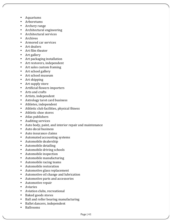- Aquariums
- Arboretums
- Archery range
- Architectural engineering
- Architectural services
- Archives
- Armored car services
- Art dealers
- Art film theater
- Art gallery
- $\bullet$  Art packaging installation
- Art restorers, independent
- Art sales custom framing
- Art school gallery
- Art school museum
- $\bullet$  Art shipping
- Art supply store
- Artificial flowers importers
- Arts and crafts
- Artists, independent
- Astrology tarot card business
- Athletes, independent
- Athletic club facilities, physical fitness
- Athletic shoe stores
- Atlas publishers
- Auditing services
- Auto body, paint, and interior repair and maintenance
- Auto decal business
- Auto insurance claims
- Automated accounting systems
- Automobile dealership
- Automobile detailing
- Automobile driving schools
- Automobile inspection
- Automobile manufacturing
- Automobile racing teams
- Automobile restoration
- Automotive glass replacement
- Automotive oil change and lubrication
- Automotive parts and accessories
- Automotive repair
- Aviaries
- Aviation clubs, recreational
- Baked goods stores
- Ball and roller bearing manufacturing
- Ballet dancers, independent
- Ballrooms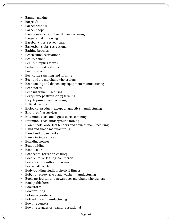- Banner-making
- Bar/club
- Barber schools
- Barber shops
- Bare printed circuit board manufacturing
- Barge rental or leasing
- Baseball clubs, recreational
- Basketball clubs, recreational
- Bathing beaches
- Beach clubs, recreational
- Beauty salons
- Beauty supplies stores
- Bed-and-breakfast inns
- Beef production
- Beef cattle ranching and farming
- Beer and ale merchant wholesalers
- Beer cooling and dispensing equipment manufacturing
- Beer stores
- Beet sugar manufacturing
- Berry (except strawberry) farming
- Bicycle pump manufacturing
- Billiard parlors
- Biological product (except diagnostic) manufacturing
- Bird-proofing services
- Bituminous coal and lignite surface mining
- Bituminous coal underground mining
- Blank-book, loose-leaf binders and devices manufacturing
- Blind and shade manufacturing
- Blood and organ banks
- Blueprinting services
- Boarding houses
- Boat building
- Boat dealers
- Boat rental (except pleasure)
- Boat rental or leasing, commercial
- Boating clubs without marinas
- Bocce ball courts
- Body-building studios, physical fitness
- Bolt, nut, screw, rivet, and washer manufacturing
- Book, periodical, and newspaper merchant wholesalers
- Book publishers
- Bookstores
- Book printing
- Botanical gardens
- Bottled water manufacturing
- Bowling centers
- Bowling leagues or teams, recreational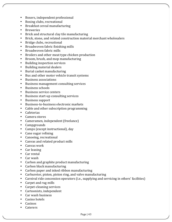- Boxers, independent professional
- Boxing clubs, recreational
- Breakfast cereal manufacturing
- Breweries
- Brick and structural clay tile manufacturing
- Brick, stone, and related construction material merchant wholesalers
- Bridge clubs, recreational
- Broadwoven fabric finishing mills
- Broadwoven fabric mills
- Broilers and other meat type chicken production
- Broom, brush, and mop manufacturing
- Building inspection services
- Building material dealers
- Burial casket manufacturing
- Bus and other motor vehicle transit systems
- Business associations
- Business management consulting services
- Business schools
- Business service centers
- Business start-up consulting services
- Business support
- Business-to-business electronic markets
- Cable and other subscription programming
- Cafeterias
- Camera stores
- Cameramen, independent (freelance)
- Campgrounds
- Camps (except instructional), day
- Cane sugar refining
- Canoeing, recreational
- Canvas and related product mills
- Canvas work
- Car leasing
- Car rental
- Car wash
- Carbon and graphite product manufacturing
- Carbon black manufacturing
- Carbon paper and inked ribbon manufacturing
- Carburetor, piston, piston ring, and valve manufacturing
- Carnival ride concession operators (i.e., supplying and servicing in others' facilities)
- Carpet and rug mills
- Carpet-cleaning services
- Cartoonists, independent
- Car wash business
- Casino hotels
- Casinos
- Caterers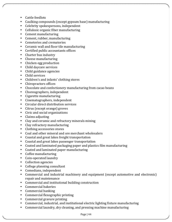- Cattle feedlots
- Caulking compounds (except gypsum base) manufacturing
- Celebrity spokespersons, independent
- Cellulosic organic fiber manufacturing
- Cement manufacturing
- Cement, rubber, manufacturing
- Cemeteries and crematories
- Ceramic wall and floor tile manufacturing
- Certified public accountants offices
- Charter bus industry
- Cheese manufacturing
- Chicken egg production
- Child daycare services
- Child guidance agencies
- Child services
- Children's and infants' clothing stores
- Chiropractors offices
- Chocolate and confectionery manufacturing from cacao beans
- Choreographers, independent
- Cigarette manufacturing
- Cinematographers, independent
- Circular direct distribution services
- Citrus (except orange) groves
- Civic and social organizations
- Claims adjusting
- Clay and ceramic and refractory minerals mining
- Clay refractory manufacturing
- Clothing accessories stores
- Coal and other mineral and ore merchant wholesalers
- Coastal and great lakes freight transportation
- Coastal and great lakes passenger transportation
- Coated and laminated packaging paper and plastics film manufacturing
- Coated and laminated paper manufacturing
- Coffee manufacturing
- Coin-operated laundry
- Collection agencies
- College planning consultant
- Comedians, independent
- Commercial and industrial machinery and equipment (except automotive and electronic) repair and maintenance
- Commercial and institutional building construction
- Commercial bakeries
- Commercial banking
- Commercial flexographic printing
- Commercial gravure printing
- Commercial, industrial, and institutional electric lighting fixture manufacturing
- Commercial laundry, dry cleaning, and pressing machine manufacturing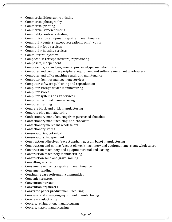- Commercial lithographic printing
- Commercial photography
- Commercial printing
- Commercial screen printing
- Commodity contracts dealing
- Communication equipment repair and maintenance
- Community centers (except recreational only), youth
- Community food services
- Community housing services
- Commuter rail systems
- Compact disc (except software) reproducing
- Composers, independent
- Compressors, air and gas, general purpose-type, manufacturing
- Computer and computer peripheral equipment and software merchant wholesalers
- Computer and office machine repair and maintenance
- Computer facilities management services
- Computer software publishing and reproduction
- Computer storage device manufacturing
- Computer stores
- Computer systems design services
- Computer terminal manufacturing
- Computer training
- Concrete block and brick manufacturing
- Concrete pipe manufacturing
- Confectionery manufacturing from purchased chocolate
- Confectionery manufacturing, non-chocolate
- Confectionery merchant wholesalers
- Confectionery stores
- Conservatories, botanical
- Conservators, independent
- Construction adhesives (except asphalt, gypsum base) manufacturing
- Construction and mining (except oil well) machinery and equipment merchant wholesalers
- Construction machinery and equipment rental and leasing
- Construction machinery manufacturing
- Construction sand and gravel mining
- Consulting service
- Consumer electronics repair and maintenance
- Consumer lending
- Continuing care retirement communities
- Convenience stores
- Convention bureaus
- Convention organizers
- Converted paper product manufacturing
- Conveyor and conveying equipment manufacturing
- Cookie manufacturing
- Coolers, refrigeration, manufacturing
- Coolers, water, manufacturing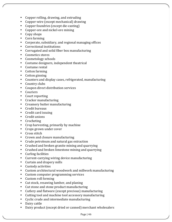- Copper rolling, drawing, and extruding
- Copper-wire (except mechanical) drawing
- Copper foundries (except die-casting)
- Copper-ore and nickel-ore mining
- Copy shops
- Corn farming
- Corporate, subsidiary, and regional managing offices
- Correctional institutions
- Corrugated and solid fiber box manufacturing
- Cosmetics stores
- Cosmetology schools
- Costume designers, independent theatrical
- Costume rental
- Cotton farming
- Cotton ginning
- Counters and display cases, refrigerated, manufacturing
- Country clubs
- Coupon direct distribution services
- Couriers
- Court reporting
- Cracker manufacturing
- Creamery butter manufacturing
- Credit bureaus
- Credit card issuing
- Credit unions
- Crocheting
- Crop harvesting, primarily by machine
- Crops grown under cover
- Cross stitch
- Crown and closure manufacturing
- Crude petroleum and natural gas extraction
- Crushed and broken granite mining and quarrying
- Crushed and broken limestone mining and quarrying
- Curling facilities
- Current-carrying wiring device manufacturing
- Curtain and drapery mills
- Custody activities
- Custom architectural woodwork and millwork manufacturing
- Custom computer programming services
- Custom roll forming
- Cut stock, resawing lumber, and planing
- Cut stone and stone product manufacturing
- Cutlery and flatware (except precious) manufacturing
- Cutting tool and machine tool accessory manufacturing
- Cyclic crude and intermediate manufacturing
- Dairy cattle
- Dairy product (except dried or canned) merchant wholesalers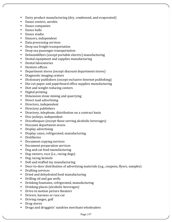- Dairy product manufacturing (dry, condensed, and evaporated)
- Dance centers, aerobic
- Dance companies
- Dance halls
- Dance studio
- Dancers, independent
- Data processing services
- Deep sea freight transportation
- Deep sea passenger transportation
- Dehumidifiers (except portable electric) manufacturing
- Dental equipment and supplies manufacturing
- Dental laboratories
- Dentists offices
- Department stores (except discount department stores)
- Diagnostic imaging centers
- Dictionary publishers (except exclusive Internet publishing)
- Die-cut paper and paperboard office supplies manufacturing
- Diet and weight reducing centers
- Digital printing
- Dimension stone mining and quarrying
- Direct mail advertising
- Directors, independent
- Directory publishers
- Directory, telephone, distribution on a contract basis
- Disc jockeys, independent
- Discotheques (except those serving alcoholic beverages)
- Discount department stores
- Display advertising
- Display cases, refrigerated, manufacturing
- Distilleries
- Document copying services
- Document preparation services
- Dog and cat food manufacturing
- Dog owners, race (i.e., racing dogs)
- Dog racing kennels
- Doll and stuffed toy manufacturing
- Door-to-door distribution of advertising materials (e.g., coupons, flyers, samples)
- Drafting services
- Dried and dehydrated food manufacturing
- Drilling oil and gas wells
- Drinking fountains, refrigerated, manufacturing
- Drinking places (alcoholic beverages)
- Drive-in motion picture theaters
- Drivers, harness or race car
- Driving ranges, golf
- Drug stores
- Drugs and druggists' sundries merchant wholesalers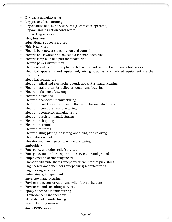- Dry pasta manufacturing
- Dry pea and bean farming
- Dry cleaning and laundry services (except coin-operated)
- Drywall and insulation contractors
- Duplicating services
- Ebay business
- Educational support services
- Elderly services
- Electric bulk power transmission and control
- Electric housewares and household fan manufacturing
- Electric lamp bulb and part manufacturing
- Electric power distribution
- Electrical and electronic appliance, television, and radio set merchant wholesalers
- Electrical apparatus and equipment, wiring supplies, and related equipment merchant wholesalers
- Electrical contractors
- Electromedical and electrotherapeutic apparatus manufacturing
- Electrometallurgical ferroalloy product manufacturing
- Electron tube manufacturing
- Electronic auctions
- Electronic capacitor manufacturing
- Electronic coil, transformer, and other inductor manufacturing
- Electronic computer manufacturing
- Electronic connector manufacturing
- Electronic resistor manufacturing
- Electronic shopping
- Electronics rental
- Electronics stores
- Electroplating, plating, polishing, anodizing, and coloring
- Elementary schools
- Elevator and moving-stairway manufacturing
- Embroidery
- Emergency and other relief services
- Emergency medical transportation service, air and ground
- Employment placement agencies
- Encyclopedia publishers (except exclusive Internet publishing)
- Engineered wood member (except truss) manufacturing
- Engineering services
- Entertainers, independent
- Envelope manufacturing
- Environment, conservation and wildlife organizations
- Environmental consulting services
- Epoxy adhesives manufacturing
- Ethnic dancers, independent
- Ethyl alcohol manufacturing
- Event planning service
- Exam preparation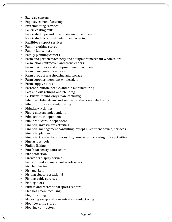- Exercise centers
- Explosives manufacturing
- Exterminating services
- Fabric coating mills
- Fabricated pipe and pipe fitting manufacturing
- Fabricated structural metal manufacturing
- Facilities support services
- Family clothing stores
- Family fun centers
- Family planning centers
- Farm and garden machinery and equipment merchant wholesalers
- Farm labor contractors and crew leaders
- Farm machinery and equipment manufacturing
- Farm management services
- Farm product warehousing and storage
- Farm supplies merchant wholesalers
- Farm supply stores
- Fastener, button, needle, and pin manufacturing
- Fats and oils refining and blending
- Fertilizer (mixing only) manufacturing
- Fiber can, tube, drum, and similar products manufacturing
- Fiber optic cable manufacturing
- Fiduciary activities
- Figure skaters, independent
- Film actors, independent
- Film producers, independent
- Financial investment activities
- Financial management consulting (except investment advice) services
- Financial planner
- Financial transactions processing, reserve, and clearinghouse activities
- Fine arts schools
- Finfish fishing
- Finish carpentry contractors
- Fire protection
- Fireworks display services
- Fish and seafood merchant wholesalers
- Fish hatcheries
- Fish markets
- Fishing clubs, recreational
- Fishing guide services
- Fishing piers
- Fitness and recreational sports centers
- Flat glass manufacturing
- $\bullet$  Flight training
- Flavoring syrup and concentrate manufacturing
- Floor covering stores
- Flooring contractors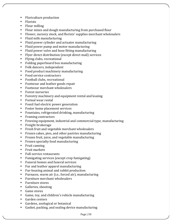- Floriculture production
- Florists
- Flour milling
- Flour mixes and dough manufacturing from purchased flour
- Flower, nursery stock, and florists' supplies merchant wholesalers
- Fluid milk manufacturing
- Fluid power cylinder and actuator manufacturing
- Fluid power pump and motor manufacturing
- Fluid power valve and hose fitting manufacturing
- Flyer direct distribution (except direct mail) services
- Flying clubs, recreational
- Folding paperboard box manufacturing
- Folk dancers, independent
- Food product machinery manufacturing
- Food service contractors
- Football clubs, recreational
- Footwear and leather goods repair
- Footwear merchant wholesalers
- Forest nurseries
- Forestry machinery and equipment rental and leasing
- Formal wear rental
- Fossil fuel electric power generation
- Foster home placement services
- Fountains, refrigerated drinking, manufacturing
- Framing contractors
- Freezing equipment, industrial and commercial-type, manufacturing
- Freight brokerage
- Fresh fruit and vegetable merchant wholesalers
- Frozen cakes, pies, and other pastries manufacturing
- Frozen fruit, juice, and vegetable manufacturing
- Frozen specialty food manufacturing
- Fruit canning
- Fruit markets
- Full-service restaurants
- Fumigating services (except crop fumigating)
- Funeral homes and funeral services
- Fur and leather apparel manufacturing
- Fur-bearing animal and rabbit production
- Furnaces, warm air (i.e., forced air), manufacturing
- Furniture merchant wholesalers
- Furniture stores
- Galleries, shooting
- Game stores
- Game, toy, and children's vehicle manufacturing
- Garden centers
- Gardens, zoological or botanical
- Gasket, packing, and sealing device manufacturing

Page | 50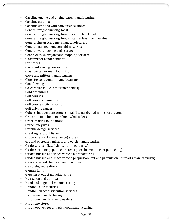- Gasoline engine and engine parts manufacturing
- Gasoline stations
- Gasoline stations with convenience stores
- $\bullet$  General freight trucking, local
- General freight trucking, long-distance, truckload
- General freight trucking, long-distance, less than truckload
- General line grocery merchant wholesalers
- General management consulting services
- General warehousing and storage
- Geophysical surveying and mapping services
- Ghost writers, independent
- Gift stores
- Glass and glazing contractors
- Glass container manufacturing
- Glove and mitten manufacturing
- Glues (except dental) manufacturing
- Goat farming
- Go-cart tracks (i.e., amusement rides)
- Gold ore mining
- Golf courses
- Golf courses, miniature
- Golf courses, pitch-n-putt
- Golf driving ranges
- Golfers, independent professional (i.e., participating in sports events)
- Grain and field bean merchant wholesalers
- Grant-making foundations
- Grape vineyards
- Graphic design services
- Greeting card publishers
- Grocery (except convenience) stores
- Ground or treated mineral and earth manufacturing
- Guide services (i.e., fishing, hunting, tourist)
- Guide, street map, publishers (except exclusive Internet publishing)
- Guided missile and space vehicle manufacturing
- Guided missile and space vehicle propulsion unit and propulsion unit parts manufacturing
- Gum and wood chemical manufacturing
- Gun clubs, recreational
- Gymnasiums
- Gypsum product manufacturing
- Hair salon and day spa
- Hand and edge tool manufacturing
- Handball club facilities
- Handbill direct distribution services
- Hardware manufacturing
- Hardware merchant wholesalers
- Hardware stores
- Hardwood veneer and plywood manufacturing

Page | 51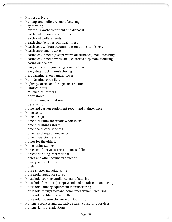- Harness drivers
- Hat, cap, and millinery manufacturing
- Hay farming
- Hazardous waste treatment and disposal
- Health and personal care stores
- Health and welfare funds
- Health club facilities, physical fitness
- Health spas without accommodations, physical fitness
- Health supplement stores
- Heating equipment (except warm air furnaces) manufacturing
- Heating equipment, warm air (i.e., forced air), manufacturing
- Heating oil dealers
- Heavy and civil engineering construction
- Heavy duty truck manufacturing
- Herb farming, grown under cover
- Herb farming, open field
- Highway, street, and bridge construction
- Historical sites
- HMO medical centers
- Hobby stores
- Hockey teams, recreational
- Hog farming
- Home and garden equipment repair and maintenance
- Home centers
- Home design
- Home furnishing merchant wholesalers
- Home furnishings stores
- Home health care services
- Home health equipment rental
- Home inspection service
- Homes for the elderly
- Horse racing stables
- Horse rental services, recreational saddle
- Horseback riding, recreational
- Horses and other equine production
- Hosiery and sock mills
- Hotels
- House slipper manufacturing
- Household appliance stores
- Household cooking appliance manufacturing
- Household furniture (except wood and metal) manufacturing
- Household laundry equipment manufacturing
- Household refrigerator and home freezer manufacturing
- Household textile product mills
- Household vacuum cleaner manufacturing
- Human resources and executive search consulting services
- Human rights organizations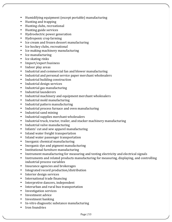- Humidifying equipment (except portable) manufacturing
- Hunting and trapping
- Hunting clubs, recreational
- Hunting guide services
- Hydroelectric power generation
- Hydroponic crop farming
- Ice cream and frozen dessert manufacturing
- Ice hockey clubs, recreational
- Ice making machinery manufacturing
- Ice manufacturing
- Ice skating rinks
- Import/export business
- Indoor play areas
- Industrial and commercial fan and blower manufacturing
- Industrial and personal service paper merchant wholesalers
- Industrial building construction
- Industrial design services
- Industrial gas manufacturing
- Industrial launderers
- Industrial machinery and equipment merchant wholesalers
- Industrial mold manufacturing
- Industrial pattern manufacturing
- Industrial process furnace and oven manufacturing
- Industrial sand mining
- Industrial supplies merchant wholesalers
- Industrial truck, tractor, trailer, and stacker machinery manufacturing
- Industrial valve manufacturing
- Infants' cut and sew apparel manufacturing
- Inland water freight transportation
- Inland water passenger transportation
- Inorganic chemical manufacturing
- Inorganic dye and pigment manufacturing
- Institutional furniture manufacturing
- Instrument manufacturing for measuring and testing electricity and electrical signals
- Instruments and related products manufacturing for measuring, displaying, and controlling industrial process variables
- Insurance agencies and brokerages
- Integrated record production/distribution
- Interior design services
- International trade financing
- Interpretive dancers, independent
- Interurban and rural bus transportation
- Investigation services
- Investment advice
- Investment banking
- In-vitro diagnostic substance manufacturing
- Iron foundries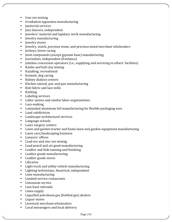- Iron ore mining
- Irradiation apparatus manufacturing
- Janitorial services
- Jazz dancers, independent
- Jewelers' material and lapidary work manufacturing
- Jewelry manufacturing
- Jewelry stores
- Jewelry, watch, precious stone, and precious metal merchant wholesalers
- Jockeys, horse racing
- Joint compounds (except gypsum base) manufacturing
- Journalists, independent (freelance)
- Jukebox concession operators (i.e., supplying and servicing in others' facilities)
- Kaolin and ball clay mining
- Kayaking, recreational
- Kennels, dog racing
- Kidney dialysis centers
- Kitchen utensil, pot, and pan manufacturing
- Knit fabric and lace mills
- Knitting
- Labeling services
- Labor unions and similar labor organizations
- Lace-making
- Laminated aluminum foil manufacturing for flexible packaging uses
- Land subdivision
- Landscape architectural services
- Language schools
- Laser surgery centers
- Lawn and garden tractor and home lawn and garden equipment manufacturing
- Lawn care/landscaping business
- Lawyers' offices
- Lead ore and zinc ore mining
- Lead pencil and art good manufacturing
- Leather and hide tanning and finishing
- Leather goods manufacturing
- Leather goods stores
- Libraries
- Light truck and utility vehicle manufacturing
- Lighting technicians, theatrical, independent
- Lime manufacturing
- Limited-service restaurants
- Limousine service
- Line-haul railroads
- Linen supply
- Liquefied petroleum gas (bottled gas) dealers
- Liquor stores
- Livestock merchant wholesalers
- Local messengers and local delivery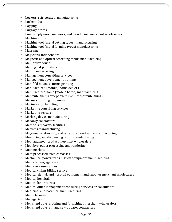- Lockers, refrigerated, manufacturing
- Locksmiths
- Logging
- Luggage stores
- Lumber, plywood, millwork, and wood panel merchant wholesalers
- Machine shops
- Machine tool (metal cutting types) manufacturing
- Machine tool (metal forming types) manufacturing
- Macramé
- Magicians, independent
- Magnetic and optical recording media manufacturing
- Mail-order houses
- Mailing list publishers
- Malt manufacturing
- Management consulting services
- Management development training
- Manifold business forms printing
- Manufactured (mobile) home dealers
- Manufactured home (mobile home) manufacturing
- Map publishers (except exclusive Internet publishing)
- Marinas, running or owning
- Marine cargo handling
- Marketing consulting services
- Marketing research
- Marking device manufacturing
- Masonry contractors
- Materials recovery facilities
- Mattress manufacturing
- Mayonnaise, dressing, and other prepared sauce manufacturing
- Measuring and dispensing pump manufacturing
- Meat and meat product merchant wholesalers
- Meat byproduct processing and rendering
- Meat markets
- Meat processed from carcasses
- Mechanical power transmission equipment manufacturing
- Media buying agencies
- Media representatives
- Medical claims billing service
- Medical, dental, and hospital equipment and supplies merchant wholesalers
- Medical hospitals
- Medical laboratories
- Medical office management consulting services or consultants
- Medicinal and botanical manufacturing
- Melon farming
- Menageries
- Men's and boys' clothing and furnishings merchant wholesalers
- Men's and boys' cut and sew apparel contractors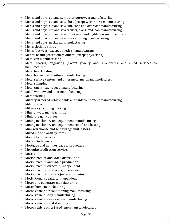- Men's and boys' cut and sew other outerwear manufacturing
- Men's and boys' cut and sew shirt (except work shirt) manufacturing
- Men's and boys' cut and sew suit, coat, and overcoat manufacturing
- Men's and boys' cut and sew trouser, slack, and jean manufacturing
- Men's and boys' cut and sew underwear and nightwear manufacturing
- Men's and boys' cut and sew work clothing manufacturing
- Men's and boys' neckwear manufacturing
- Men's clothing stores
- Men's footwear (except athletic) manufacturing
- Mental health practitioners offices (except physicians)
- Metal can manufacturing
- Metal coating, engraving (except jewelry and silverware), and allied services to manufacturers
- Metal heat treating
- Metal household furniture manufacturing
- Metal service centers and other metal merchant wholesalers
- Metal stamping
- Metal tank (heavy gauge) manufacturing
- Metal window and door manufacturing
- Metalworking
- Military armored vehicle, tank, and tank component manufacturing
- Milk production
- Millwork (including flooring)
- Mineral wool manufacturing
- Miniature golf courses
- Mining machinery and equipment manufacturing
- Mining machinery and equipment rental and leasing
- Mini-warehouse and self-storage unit lessors
- Mixed mode transit systems
- Mobile food services
- Models, independent
- Mortgage and nonmortgage loan brokers
- Mosquito eradication services
- Motels
- Motion picture and video distribution
- Motion picture and video production
- Motion picture directors, independent
- Motion picture producers, independent
- Motion picture theaters (except drive-ins)
- Motivational speakers, independent
- Motor and generator manufacturing
- Motor-home manufacturing
- Motor vehicle air conditioning manufacturing
- Motor vehicle body manufacturing
- Motor vehicle brake system manufacturing
- Motor vehicle metal stamping
- Motor vehicle parts (used) merchant wholesalers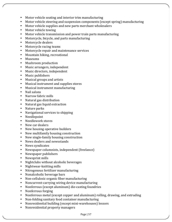- Motor vehicle seating and interior trim manufacturing
- Motor vehicle steering and suspension components (except spring) manufacturing
- Motor vehicle supplies and new parts merchant wholesalers
- Motor vehicle towing
- Motor vehicle transmission and power train parts manufacturing
- Motorcycle, bicycle, and parts manufacturing
- Motorcycle dealers
- Motorcycle racing teams
- Motorcycle repair and maintenance services
- Mountain hiking, recreational
- Museums
- Mushroom production
- Music arrangers, independent
- Music directors, independent
- Music publishers
- Musical groups and artists
- Musical instrument and supplies stores
- Musical instrument manufacturing
- Nail salons
- Narrow fabric mills
- Natural gas distribution
- Natural gas liquid extraction
- Nature parks
- Navigational services to shipping
- Needlepoint
- Needlework stores
- New car dealers
- New housing operative builders
- New multifamily housing construction
- New single-family housing construction
- News dealers and newsstands
- News syndicates
- Newspaper columnists, independent (freelance)
- Newspaper publishers
- Newsprint mills
- Nightclubs without alcoholic beverages
- Nightwear-knitting mills
- Nitrogenous fertilizer manufacturing
- Nonalcoholic beverage bars
- Non-cellulosic organic fiber manufacturing
- Noncurrent-carrying wiring device manufacturing
- Nonferrous (except aluminum) die-casting foundries
- Nonferrous forging
- Nonferrous metal (except copper and aluminum) rolling, drawing, and extruding
- Non-folding sanitary food container manufacturing
- Nonresidential building (except mini-warehouses) lessors
- Nonresidential property managers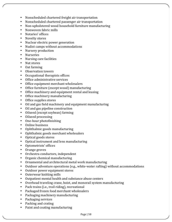- Nonscheduled chartered freight air transportation
- Nonscheduled chartered passenger air transportation
- Non-upholstered wood household furniture manufacturing
- Nonwoven fabric mills
- Notaries' offices
- Novelty stores
- Nuclear electric power generation
- Nudist camps without accommodations
- Nursery production
- Nurseries
- Nursing care facilities
- Nut stores
- $\bullet$  Oat farming
- Observation towers
- Occupational therapists offices
- Office administrative services
- Office equipment merchant wholesalers
- Office furniture (except wood) manufacturing
- Office machinery and equipment rental and leasing
- Office machinery manufacturing
- Office supplies stores
- Oil and gas field machinery and equipment manufacturing
- Oil and gas pipeline construction
- Oilseed (except soybean) farming
- Oilseed processing
- One-hour photofinishing
- Online business
- Ophthalmic goods manufacturing
- Ophthalmic goods merchant wholesalers
- Optical goods stores
- Optical instrument and lens manufacturing
- Optometrists' offices
- Orange groves
- Orchestra conductors, independent
- Organic chemical manufacturing
- Ornamental and architectural metal work manufacturing
- Outdoor adventure operations (e.g., white-water rafting) without accommodations
- Outdoor power equipment stores
- Outerwear knitting mills
- Outpatient mental health and substance abuse centers
- Overhead traveling crane, hoist, and monorail system manufacturing
- Pack trains (i.e., trail riding), recreational
- Packaged frozen food merchant wholesalers
- Packaging machinery manufacturing
- Packaging services
- Packing and crating
- Paint and coating manufacturing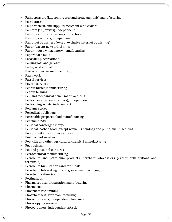- Paint sprayers (i.e., compressor and spray gun unit) manufacturing
- Paint stores
- Paint, varnish, and supplies merchant wholesalers
- Painters (i.e., artists), independent
- Painting and wall covering contractors
- Painting restorers, independent
- Pamphlet publishers (except exclusive Internet publishing)
- Paper (except newsprint) mills
- Paper industry machinery manufacturing
- Paperboard mills
- Parasailing, recreational
- Parking lots and garages
- Parks, wild animal
- Pastes, adhesive, manufacturing
- Patchwork
- Patrol services
- Payroll services
- Peanut butter manufacturing
- Peanut farming
- Pen and mechanical pencil manufacturing
- Performers (i.e., entertainers), independent
- Performing artists, independent
- Perfume stores
- Periodical publishers
- Perishable prepared food manufacturing
- Pension funds
- Personal concierge/shopper
- Personal leather good (except women's handbag and purse) manufacturing
- Persons with disabilities services
- Pest-control services
- Pesticide and other agricultural chemical manufacturing
- Pet business
- Pet and pet supplies stores
- Petrochemical manufacturing
- Petroleum and petroleum products merchant wholesalers (except bulk stations and terminals)
- Petroleum bulk stations and terminals
- Petroleum lubricating oil and grease manufacturing
- Petroleum refineries
- Petting zoos
- Pharmaceutical preparation manufacturing
- Pharmacies
- Phosphate rock mining
- Phosphate fertilizer manufacturing
- Photojournalists, independent (freelance)
- Photocopying services
- Photographers, independent artistic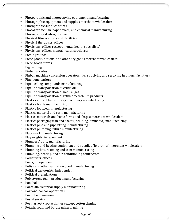- Photographic and photocopying equipment manufacturing
- Photographic equipment and supplies merchant wholesalers
- Photographic supplies stores
- Photographic film, paper, plate, and chemical manufacturing
- Photography studios, portrait
- Physical fitness sports club facilities
- Physical therapists' offices
- Physicians' offices (except mental health specialists)
- Physicians' offices, mental health specialists
- Picnic grounds
- Piece goods, notions, and other dry goods merchant wholesalers
- Piece goods stores
- Pig farming
- Pinball arcades
- Pinball machine concession operators (i.e., supplying and servicing in others' facilities)
- Ping pong parlors
- Pipe-sealing compounds manufacturing
- Pipeline transportation of crude oil
- Pipeline transportation of natural gas
- Pipeline transportation of refined petroleum products
- Plastics and rubber industry machinery manufacturing
- Plastics bottle manufacturing
- Plastics footwear manufacturing
- Plastics material and resin manufacturing
- Plastics materials and basic forms and shapes merchant wholesalers
- Plastics packaging film and sheet (including laminated) manufacturing
- Plastics pipe and pipe fitting manufacturing
- Plastics plumbing fixture manufacturing
- Plate work manufacturing
- Playwrights, independent
- Plumbers' putty manufacturing
- Plumbing and heating equipment and supplies (hydronics) merchant wholesalers
- Plumbing fixture fitting and trim manufacturing
- Plumbing, heating, and air-conditioning contractors
- Podiatrists' offices
- Poets, independent
- Polish and other sanitation good manufacturing
- Political cartoonists, independent
- Political organizations
- Polystyrene foam product manufacturing
- Pool halls
- Porcelain electrical supply manufacturing
- Port and harbor operations
- Portfolio management
- Postal service
- Postharvest crop activities (except cotton ginning)
- Potash, soda, and borate mineral mining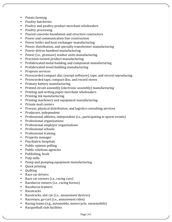- Potato farming
- Poultry hatcheries
- Poultry and poultry product merchant wholesalers
- Poultry processing
- Poured concrete foundation and structure contractors
- Power and communication line construction
- Power boiler and heat exchanger manufacturing
- Power, distribution, and specialty transformer manufacturing
- Power-driven handtool manufacturing
- Power (i.e., pressure) washer units manufacturing
- Precision-turned product manufacturing
- Prefabricated metal building and component manufacturing
- Prefabricated wood building manufacturing
- Prepress services
- Prerecorded compact disc (except software), tape, and record reproducing
- Prerecorded tape, compact disc, and record stores
- Primary battery manufacturing
- Printed circuit assembly (electronic assembly) manufacturing
- Printing and writing paper merchant wholesalers
- $\bullet$  Printing ink manufacturing
- Printing machinery and equipment manufacturing
- Private mail centers
- Process, physical distribution, and logistics consulting services
- Producers, independent
- Professional athletes, independent (i.e., participating in sports events)
- Professional organizations
- Professional employer organizations
- Professional schools
- Professional training
- Property manager
- Psychiatric hospitals
- Public opinion polling
- Public relations agencies
- Publishing, book
- Pulp mills
- Pump and pumping equipment manufacturing
- Quick printing
- Quilting
- Race car drivers
- Race car owners (i.e., racing cars)
- Racehorse owners (i.e., racing horses)
- Racehorse trainers
- Racetracks
- Racetracks, slot car (i.e., amusement devices)
- Raceways, go-cart (i.e., amusement rides)
- Racing teams (e.g., automobile, motorcycle, snowmobile)
- Racquetball club facilities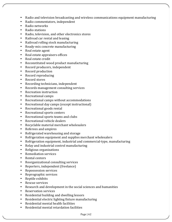- Radio and television broadcasting and wireless communications equipment manufacturing
- Radio commentators, independent
- Radio networks
- Radio stations
- Radio, television, and other electronics stores
- Railroad car rental and leasing
- Railroad rolling stock manufacturing
- Ready-mix concrete manufacturing
- Real estate agent
- Real estate appraisers offices
- Real estate credit
- Reconstituted wood product manufacturing
- Record producers, independent
- Record production
- Record reproducing
- Record stores
- Recording technicians, independent
- Records management consulting services
- Recreation instruction
- Recreational camps
- Recreational camps without accommodations
- Recreational day camps (except instructional)
- Recreational goods rental
- Recreational sports centers
- Recreational sports teams and clubs
- Recreational vehicle dealers
- Recyclable material merchant wholesalers
- Referees and umpires
- Refrigerated warehousing and storage
- Refrigeration equipment and supplies merchant wholesalers
- Refrigeration equipment, industrial and commercial-type, manufacturing
- Relay and industrial control manufacturing
- Religious organizations
- Remediation services
- Rental centers
- Reorganizational consulting services
- Reporters, independent (freelance)
- Repossession services
- Reprographic services
- Reptile exhibits
- Rescue services
- Research and development in the social sciences and humanities
- Reservation services
- Residential building and dwelling lessors
- Residential electric lighting fixture manufacturing
- Residential mental health facilities
- Residential mental retardation facilities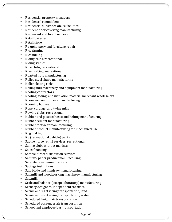- Residential property managers
- Residential remodelers
- Residential substance abuse facilities
- Resilient floor covering manufacturing
- Restaurant and food business
- Retail bakeries
- Retail store
- Re-upholstery and furniture repair
- Rice farming
- Rice milling
- Riding clubs, recreational
- Riding stables
- Rifle clubs, recreational
- River rafting, recreational
- Roasted nuts manufacturing
- Rolled steel shape manufacturing
- Roller skating rinks
- Rolling mill machinery and equipment manufacturing
- Roofing contractors
- Roofing, siding, and insulation material merchant wholesalers
- Room air-conditioners manufacturing
- Rooming houses
- Rope, cordage, and twine mills
- Rowing clubs, recreational
- Rubber and plastics hoses and belting manufacturing
- Rubber cement manufacturing
- Rubber footwear manufacturing
- Rubber product manufacturing for mechanical use
- Rug making
- RV (recreational vehicle) parks
- Saddle horse rental services, recreational
- Sailing clubs without marinas
- Sales financing
- Sample direct distribution services
- Sanitary paper product manufacturing
- Satellite telecommunications
- Savings institutions
- Saw blade and handsaw manufacturing
- Sawmill and woodworking machinery manufacturing
- Sawmills
- Scale and balance (except laboratory) manufacturing
- Scenery designers, independent theatrical
- Scenic and sightseeing transportation, land
- Scenic and sightseeing transportation, water
- Scheduled freight air transportation
- Scheduled passenger air transportation
- School and employee bus transportation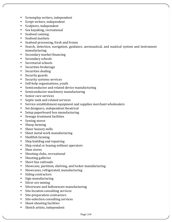- Screenplay writers, independent
- Script writers, independent
- Sculptors, independent
- Sea kayaking, recreational
- Seafood canning
- Seafood markets
- Seafood processing, fresh and frozen
- Search, detection, navigation, guidance, aeronautical, and nautical system and instrument manufacturing
- Secondary market financing
- Secondary schools
- Secretarial schools
- Securities brokerage
- Securities dealing
- Security guards
- Security systems services
- Self-help organizations, youth
- Semiconductor and related device manufacturing
- Semiconductor machinery manufacturing
- Senior care services
- Septic tank and related services
- Service establishment equipment and supplies merchant wholesalers
- Set designers, independent theatrical
- Setup paperboard box manufacturing
- Sewage treatment facilities
- Sewing stores
- Sheep farming
- Sheer hosiery mills
- Sheet metal work manufacturing
- Shellfish farming
- Ship building and repairing
- Ship rental or leasing without operators
- Shoe stores
- Shooting clubs, recreational
- Shooting galleries
- Short line railroads
- Showcase, partition, shelving, and locker manufacturing
- Showcases, refrigerated, manufacturing
- Siding contractors
- Sign manufacturing
- Silver ore mining
- Silverware and hollowware manufacturing
- Site-location consulting services
- Site-preparation contractors
- Site-selection consulting services
- Skeet-shooting facilities
- Sketch artists, independent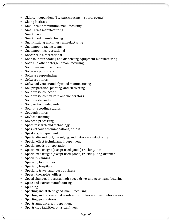- Skiers, independent (i.e., participating in sports events)
- Skiing facilities
- Small arms ammunition manufacturing
- Small arms manufacturing
- Snack bars
- Snack food manufacturing
- Snow-making machinery manufacturing
- Snowmobile racing teams
- Snowmobiling, recreational
- Soccer clubs, recreational
- Soda fountain cooling and dispensing equipment manufacturing
- Soap and other detergent manufacturing
- Soft drink manufacturing
- Software publishers
- Software reproducing
- Software stores
- Softwood veneer and plywood manufacturing
- Soil preparation, planting, and cultivating
- Solid waste collection
- Solid waste combustors and incinerators
- Solid waste landfill
- Songwriters, independent
- Sound-recording studios
- Souvenir stores
- Soybean farming
- Soybean processing
- Space research and technology
- Spas without accommodations, fitness
- Speakers, independent
- Special die and tool, die set, jig, and fixture manufacturing
- Special effect technicians, independent
- Special needs transportation
- Specialized freight (except used goods) trucking, local
- Specialized freight (except used goods) trucking, long-distance
- Specialty canning
- Specialty food stores
- Specialty hospitals
- Specialty travel and tours business
- Speech therapists' offices
- Speed changer, industrial high-speed drive, and gear manufacturing
- Spice and extract manufacturing
- Spinning
- Sporting and athletic goods manufacturing
- Sporting and recreational goods and supplies merchant wholesalers
- Sporting goods stores
- Sports announcers, independent
- Sports club facilities, physical fitness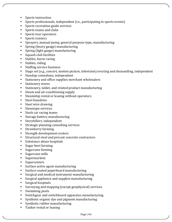- Sports instruction
- Sports professionals, independent (i.e., participating in sports events)
- Sports recreation guide services
- Sports teams and clubs
- Sports tour operators
- Sports trainers
- Sprayers, manual pump, general purpose-type, manufacturing
- Spring (heavy gauge) manufacturing
- Spring (light gauge) manufacturing
- Squash club facilities
- Stables, horse racing
- Stables, riding
- Staffing service business
- Stage set (e.g., concert, motion picture, television) erecting and dismantling, independent
- Standup comedians, independent
- Stationery and office supplies merchant wholesalers
- Stationery stores
- Stationery, tablet, and related product manufacturing
- Steam and air-conditioning supply
- Steamship rental or leasing without operators
- Steel foundries
- Steel wire drawing
- Stenotype services
- Stock car racing teams
- Storage battery manufacturing
- Storytellers, independent
- Strategic planning consulting services
- Strawberry farming
- Strength development centers
- Structural steel and precast concrete contractors
- Substance abuse hospitals
- Sugar beet farming
- Sugarcane farming
- Sugarcane mills
- Supermarkets
- Supercenters
- Surface active agent manufacturing
- Surface-coated paperboard manufacturing
- Surgical and medical instrument manufacturing
- Surgical appliance and supplies manufacturing
- Surgical hospitals
- Surveying and mapping (except geophysical) services
- Swimming pools
- Switchgear and switchboard apparatus manufacturing
- Synthetic organic dye and pigment manufacturing
- Synthetic rubber manufacturing
- Tanker rental or leasing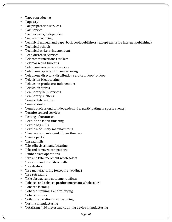- Tape reproducing
- Tapestry
- Tax preparation services
- Taxi service
- Taxidermists, independent
- Tea manufacturing
- Technical manual and paperback book publishers (except exclusive Internet publishing)
- Technical schools
- Technical writers, independent
- Teen outreach services
- Telecommunications resellers
- Telemarketing bureaus
- Telephone answering services
- Telephone apparatus manufacturing
- Telephone directory distribution services, door-to-door
- Television broadcasting
- Television producers, independent
- Television stores
- Temporary help services
- Temporary shelters
- Tennis club facilities
- Tennis courts
- Tennis professionals, independent (i.e., participating in sports events)
- Termite control services
- Testing laboratories
- Textile and fabric finishing
- Textile bag mills
- Textile machinery manufacturing
- Theater companies and dinner theaters
- Theme parks
- Thread mills
- Tile adhesives manufacturing
- Tile and terrazzo contractors
- Timber tract operations
- Tire and tube merchant wholesalers
- Tire cord and tire fabric mills
- Tire dealers
- Tire manufacturing (except retreading)
- Tire retreading
- Title abstract and settlement offices
- Tobacco and tobacco product merchant wholesalers
- Tobacco farming
- Tobacco stemming and re-drying
- Tobacco stores
- Toilet preparation manufacturing
- Tortilla manufacturing
- Totalizing fluid meter and counting device manufacturing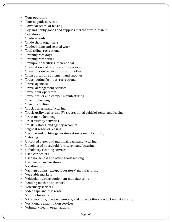- Tour operators
- Tourist guide services
- Towboat rental or leasing
- Toy and hobby goods and supplies merchant wholesalers
- Toy stores
- Trade schools
- Trade show organizers
- Tradebinding and related work
- Trail riding, recreational
- Training race dogs
- Training racehorses
- Trampoline facilities, recreational
- Translation and interpretation services
- Transmission repair shops, automotive
- Transportation equipment and supplies
- Trapshooting facilities, recreational
- Travel agencies
- Travel arrangement services
- Travel tour operators
- Travel trailer and camper manufacturing
- Tree nut farming
- Tree production
- Truck trailer manufacturing
- Truck, utility trailer, and RV (recreational vehicle) rental and leasing
- Truss manufacturing
- Trust custody activities
- Trusts, estates, and agency accounts
- Tugboat rental or leasing
- Turbine and turbine generator set units manufacturing
- Tutoring
- Uncoated paper and multiwall bag manufacturing
- Upholstered household furniture manufacturing
- Upholstery cleaning services
- Used car dealers
- Used household and office goods moving
- Used merchandise stores
- Vacation camps
- Vacuum pumps (except laboratory) manufacturing
- Vegetable markets
- Vehicular lighting equipment manufacturing
- Vending machine operators
- Veterinary services
- Video tape and disc rental
- Visitors bureaus
- Vitreous china, fine earthenware, and other pottery product manufacturing
- Vocational rehabilitation services
- Voluntary health organizations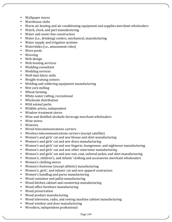- Wallpaper stores
- Warehouse clubs
- Warm air heating and air-conditioning equipment and supplies merchant wholesalers
- Watch, clock, and part manufacturing
- Water and sewer line construction
- Water (i.e., drinking) coolers, mechanical, manufacturing
- Water supply and irrigation systems
- Waterslides (i.e., amusement rides)
- Wave pools
- Weaving
- Web design
- Web-hosting services
- Wedding consultant
- Wedding services
- Weft-knit fabric mills
- Weight-training centers
- Welding and soldering equipment manufacturing
- Wet corn milling
- Wheat farming
- White-water rafting, recreational
- Wholesale distribution
- Wild animal parks
- Wildlife artists, independent
- Window treatment stores
- Wine and distilled alcoholic beverage merchant wholesalers
- Wine stores
- Wineries
- Wired telecommunications carriers
- Wireless telecommunications carriers (except satellite)
- Women's and girls' cut and sew blouse and shirt manufacturing
- Women's and girls' cut and sew dress manufacturing
- Women's and girls' cut and sew lingerie, loungewear, and nightwear manufacturing
- Women's and girls' cut and sew other outerwear manufacturing
- Women's and girls' cut and sew suit, coat, tailored jacket, and skirt manufacturing
- Women's, children's, and infants' clothing and accessories merchant wholesalers
- Women's clothing stores
- Women's footwear (except athletic) manufacturing
- Women's, girls', and infants' cut and sew apparel contractors
- Women's handbag and purse manufacturing
- Wood container and pallet manufacturing
- Wood kitchen cabinet and countertop manufacturing
- Wood office furniture manufacturing
- Wood preservation
- Wood product manufacturing
- Wood television, radio, and sewing machine cabinet manufacturing
- Wood window and door manufacturing
- Wrestlers, independent professional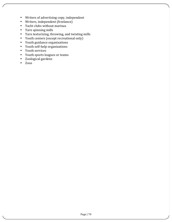- Writers of advertising copy, independent
- Writers, independent (freelance)
- Yacht clubs without marinas
- Yarn spinning mills
- Yarn texturizing, throwing, and twisting mills
- Youth centers (except recreational only)
- Youth guidance organizations
- Youth self-help organizations
- Youth services
- Youth sports leagues or teams
- Zoological gardens
- Zoos